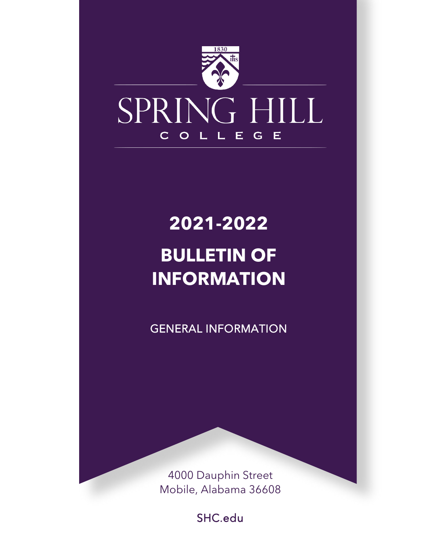

## **2021-2022 BULLETIN OF INFORMATION**

GENERAL INFORMATION

4000 Dauphin Street Mobile, Alabama 36608

SHC.edu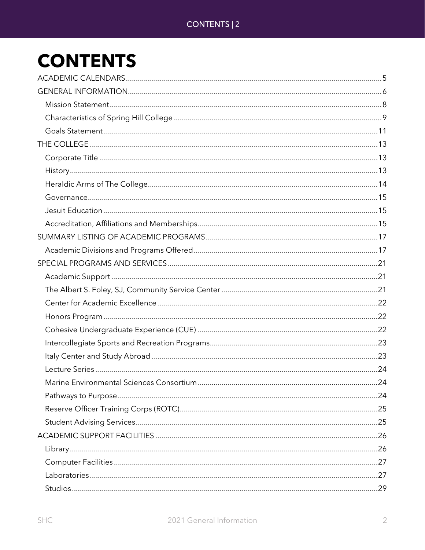## **CONTENTS**

| Marine Environmental Sciences Consortium | .24 |
|------------------------------------------|-----|
|                                          |     |
|                                          |     |
|                                          |     |
|                                          |     |
|                                          |     |
|                                          |     |
|                                          |     |
|                                          |     |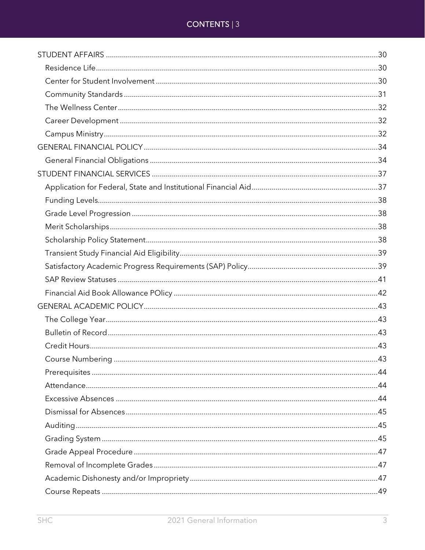### CONTENTS | 3

| 43 |
|----|
|    |
|    |
|    |
|    |
|    |
|    |
|    |
|    |
|    |
|    |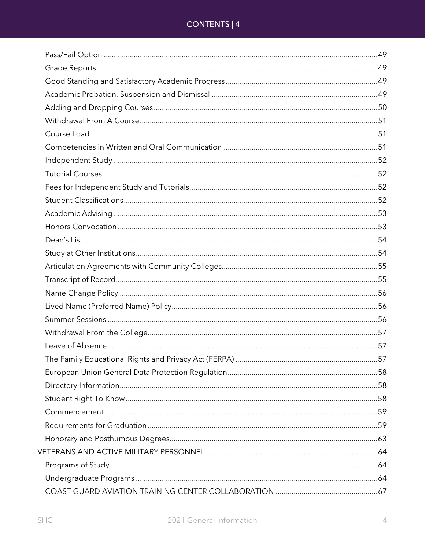### CONTENTS | 4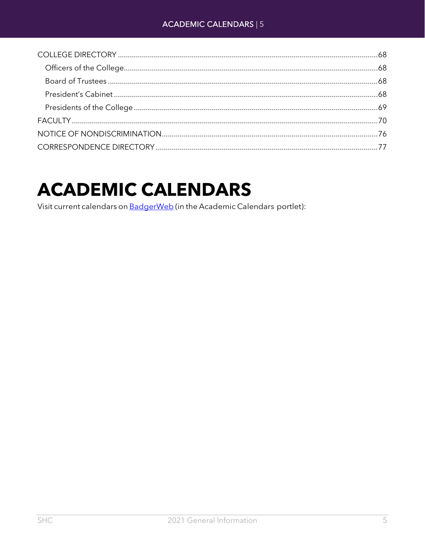## <span id="page-4-0"></span>**ACADEMIC CALENDARS**

Visit current calendars on BadgerWeb (in the Academic Calendars portlet):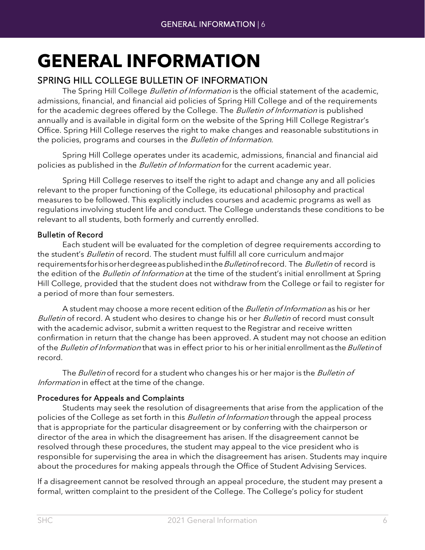## <span id="page-5-0"></span>**GENERAL INFORMATION**

### SPRING HILL COLLEGE BULLETIN OF INFORMATION

The Spring Hill College *Bulletin of Information* is the official statement of the academic, admissions, financial, and financial aid policies of Spring Hill College and of the requirements for the academic degrees offered by the College. The Bulletin of Information is published annually and is available in digital form on the website of the Spring Hill College Registrar's Office. Spring Hill College reserves the right to make changes and reasonable substitutions in the policies, programs and courses in the Bulletin of Information.

Spring Hill College operates under its academic, admissions, financial and financial aid policies as published in the *Bulletin of Information* for the current academic year.

Spring Hill College reserves to itself the right to adapt and change any and all policies relevant to the proper functioning of the College, its educational philosophy and practical measures to be followed. This explicitly includes courses and academic programs as well as regulations involving student life and conduct. The College understands these conditions to be relevant to all students, both formerly and currently enrolled.

### Bulletin of Record

Each student will be evaluated for the completion of degree requirements according to the student's *Bulletin* of record. The student must fulfill all core curriculum and major requirementsforhisorherdegreeaspublished in the *Bulletin* of record is record is the edition of the *Bulletin of Information* at the time of the student's initial enrollment at Spring Hill College, provided that the student does not withdraw from the College or fail to register for a period of more than four semesters.

A student may choose a more recent edition of the *Bulletin of Information* as his or her Bulletin of record. A student who desires to change his or her Bulletin of record must consult with the academic advisor, submit a written request to the Registrar and receive written confirmation in return that the change has been approved. A student may not choose an edition of the Bulletin of Information that was in effect prior to his or her initial enrollment as the Bulletin of record.

The Bulletin of record for a student who changes his or her major is the Bulletin of Information in effect at the time of the change.

### Procedures for Appeals and Complaints

Students may seek the resolution of disagreements that arise from the application of the policies of the College as set forth in this *Bulletin of Information* through the appeal process that is appropriate for the particular disagreement or by conferring with the chairperson or director of the area in which the disagreement has arisen. If the disagreement cannot be resolved through these procedures, the student may appeal to the vice president who is responsible for supervising the area in which the disagreement has arisen. Students may inquire about the procedures for making appeals through the Office of Student Advising Services.

If a disagreement cannot be resolved through an appeal procedure, the student may present a formal, written complaint to the president of the College. The College's policy for student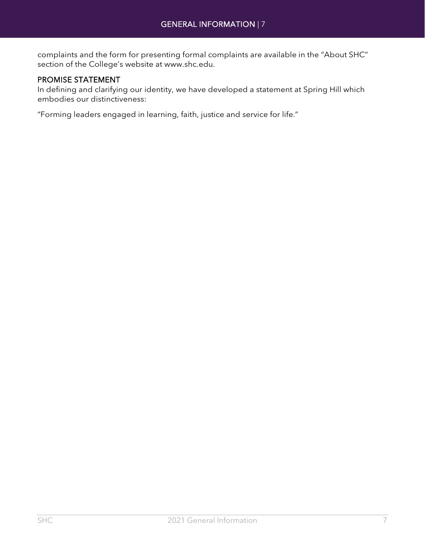complaints and the form for presenting formal complaints are available in the "About SHC" section of the College's website at [www.shc.edu.](http://www.shc.edu/)

### PROMISE STATEMENT

In defining and clarifying our identity, we have developed a statement at Spring Hill which embodies our distinctiveness:

"Forming leaders engaged in learning, faith, justice and service for life."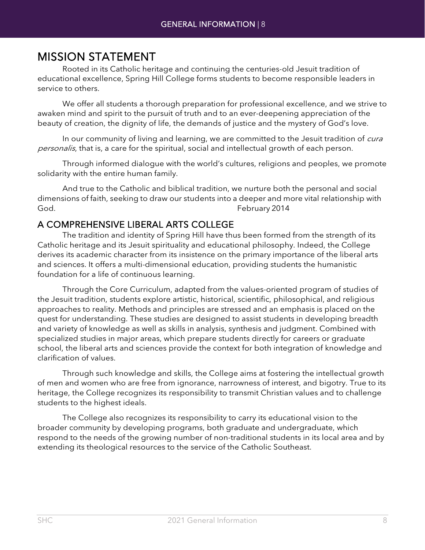<span id="page-7-0"></span>**MISSION STATEMENT**<br>Rooted in its Catholic heritage and continuing the centuries-old Jesuit tradition of educational excellence, Spring Hill College forms students to become responsible leaders in service to others.

We offer all students a thorough preparation for professional excellence, and we strive to awaken mind and spirit to the pursuit of truth and to an ever-deepening appreciation of the beauty of creation, the dignity of life, the demands of justice and the mystery of God's love.

In our community of living and learning, we are committed to the Jesuit tradition of *cura* personalis, that is, a care for the spiritual, social and intellectual growth of each person.

Through informed dialogue with the world's cultures, religions and peoples, we promote solidarity with the entire human family.

And true to the Catholic and biblical tradition, we nurture both the personal and social dimensions of faith, seeking to draw our students into a deeper and more vital relationship with God. February 2014

### A COMPREHENSIVE LIBERAL ARTS COLLEGE

The tradition and identity of Spring Hill have thus been formed from the strength of its Catholic heritage and its Jesuit spirituality and educational philosophy. Indeed, the College derives its academic character from its insistence on the primary importance of the liberal arts and sciences. It offers a multi-dimensional education, providing students the humanistic foundation for a life of continuous learning.

Through the Core Curriculum, adapted from the values-oriented program of studies of the Jesuit tradition, students explore artistic, historical, scientific, philosophical, and religious approaches to reality. Methods and principles are stressed and an emphasis is placed on the quest for understanding. These studies are designed to assist students in developing breadth and variety of knowledge as well as skills in analysis, synthesis and judgment. Combined with specialized studies in major areas, which prepare students directly for careers or graduate school, the liberal arts and sciences provide the context for both integration of knowledge and clarification of values.

Through such knowledge and skills, the College aims at fostering the intellectual growth of men and women who are free from ignorance, narrowness of interest, and bigotry. True to its heritage, the College recognizes its responsibility to transmit Christian values and to challenge students to the highest ideals.

The College also recognizes its responsibility to carry its educational vision to the broader community by developing programs, both graduate and undergraduate, which respond to the needs of the growing number of non-traditional students in its local area and by extending its theological resources to the service of the Catholic Southeast.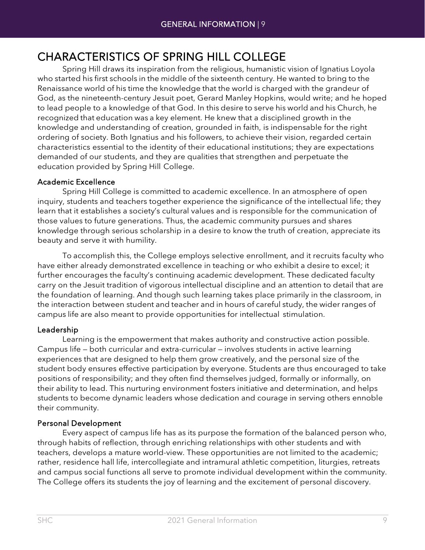## <span id="page-8-0"></span>CHARACTERISTICS OF SPRING HILL COLLEGE<br>Spring Hill draws its inspiration from the religious, humanistic vision of Ignatius Loyola

who started his first schools in the middle of the sixteenth century. He wanted to bring to the Renaissance world of his time the knowledge that the world is charged with the grandeur of God, as the nineteenth-century Jesuit poet, Gerard Manley Hopkins, would write; and he hoped to lead people to a knowledge of that God. In this desire to serve his world and his Church, he recognized that education was a key element. He knew that a disciplined growth in the knowledge and understanding of creation, grounded in faith, is indispensable for the right ordering of society. Both Ignatius and his followers, to achieve their vision, regarded certain characteristics essential to the identity of their educational institutions; they are expectations demanded of our students, and they are qualities that strengthen and perpetuate the education provided by Spring Hill College.

### Academic Excellence

Spring Hill College is committed to academic excellence. In an atmosphere of open inquiry, students and teachers together experience the significance of the intellectual life; they learn that it establishes a society's cultural values and is responsible for the communication of those values to future generations. Thus, the academic community pursues and shares knowledge through serious scholarship in a desire to know the truth of creation, appreciate its beauty and serve it with humility.

To accomplish this, the College employs selective enrollment, and it recruits faculty who have either already demonstrated excellence in teaching or who exhibit a desire to excel; it further encourages the faculty's continuing academic development. These dedicated faculty carry on the Jesuit tradition of vigorous intellectual discipline and an attention to detail that are the foundation of learning. And though such learning takes place primarily in the classroom, in the interaction between student and teacher and in hours of careful study, the wider ranges of campus life are also meant to provide opportunities for intellectual stimulation.

### Leadership

Learning is the empowerment that makes authority and constructive action possible. Campus life — both curricular and extra-curricular — involves students in active learning experiences that are designed to help them grow creatively, and the personal size of the student body ensures effective participation by everyone. Students are thus encouraged to take positions of responsibility; and they often find themselves judged, formally or informally, on their ability to lead. This nurturing environment fosters initiative and determination, and helps students to become dynamic leaders whose dedication and courage in serving others ennoble their community.

### Personal Development

Every aspect of campus life has as its purpose the formation of the balanced person who, through habits of reflection, through enriching relationships with other students and with teachers, develops a mature world-view. These opportunities are not limited to the academic; rather, residence hall life, intercollegiate and intramural athletic competition, liturgies, retreats and campus social functions all serve to promote individual development within the community. The College offers its students the joy of learning and the excitement of personal discovery.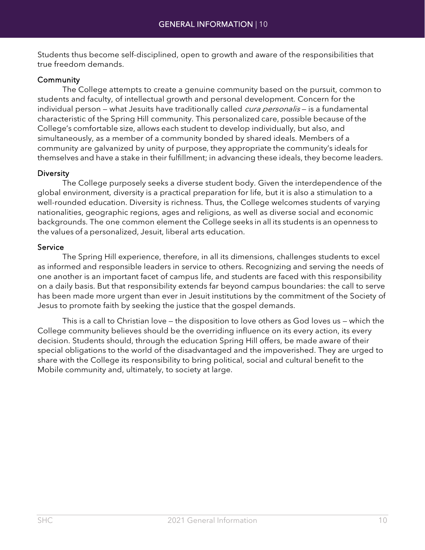Students thus become self-disciplined, open to growth and aware of the responsibilities that true freedom demands.

### Community

The College attempts to create a genuine community based on the pursuit, common to students and faculty, of intellectual growth and personal development. Concern for the individual person – what Jesuits have traditionally called *cura personalis* – is a fundamental characteristic of the Spring Hill community. This personalized care, possible because of the College's comfortable size, allows each student to develop individually, but also, and simultaneously, as a member of a community bonded by shared ideals. Members of a community are galvanized by unity of purpose, they appropriate the community's ideals for themselves and have a stake in their fulfillment; in advancing these ideals, they become leaders.

### **Diversity**

The College purposely seeks a diverse student body. Given the interdependence of the global environment, diversity is a practical preparation for life, but it is also a stimulation to a well-rounded education. Diversity is richness. Thus, the College welcomes students of varying nationalities, geographic regions, ages and religions, as well as diverse social and economic backgrounds. The one common element the College seeks in all its students is an openness to the values of a personalized, Jesuit, liberal arts education.

### Service

The Spring Hill experience, therefore, in all its dimensions, challenges students to excel as informed and responsible leaders in service to others. Recognizing and serving the needs of one another is an important facet of campus life, and students are faced with this responsibility on a daily basis. But that responsibility extends far beyond campus boundaries: the call to serve has been made more urgent than ever in Jesuit institutions by the commitment of the Society of Jesus to promote faith by seeking the justice that the gospel demands.

This is a call to Christian love — the disposition to love others as God loves us — which the College community believes should be the overriding influence on its every action, its every decision. Students should, through the education Spring Hill offers, be made aware of their special obligations to the world of the disadvantaged and the impoverished. They are urged to share with the College its responsibility to bring political, social and cultural benefit to the Mobile community and, ultimately, to society at large.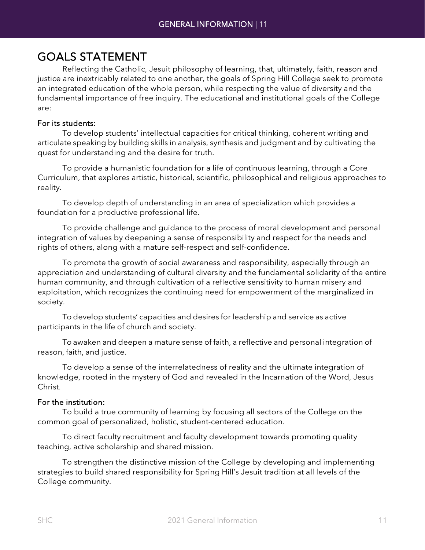<span id="page-10-0"></span>GOALS STATEMENT<br>Reflecting the Catholic, Jesuit philosophy of learning, that, ultimately, faith, reason and justice are inextricably related to one another, the goals of Spring Hill College seek to promote an integrated education of the whole person, while respecting the value of diversity and the fundamental importance of free inquiry. The educational and institutional goals of the College are:

### For its students:

To develop students' intellectual capacities for critical thinking, coherent writing and articulate speaking by building skills in analysis, synthesis and judgment and by cultivating the quest for understanding and the desire for truth.

To provide a humanistic foundation for a life of continuous learning, through a Core Curriculum, that explores artistic, historical, scientific, philosophical and religious approaches to reality.

To develop depth of understanding in an area of specialization which provides a foundation for a productive professional life.

To provide challenge and guidance to the process of moral development and personal integration of values by deepening a sense of responsibility and respect for the needs and rights of others, along with a mature self-respect and self-confidence.

To promote the growth of social awareness and responsibility, especially through an appreciation and understanding of cultural diversity and the fundamental solidarity of the entire human community, and through cultivation of a reflective sensitivity to human misery and exploitation, which recognizes the continuing need for empowerment of the marginalized in society.

To develop students' capacities and desires for leadership and service as active participants in the life of church and society.

To awaken and deepen a mature sense of faith, a reflective and personal integration of reason, faith, and justice.

To develop a sense of the interrelatedness of reality and the ultimate integration of knowledge, rooted in the mystery of God and revealed in the Incarnation of the Word, Jesus Christ.

### For the institution:

To build a true community of learning by focusing all sectors of the College on the common goal of personalized, holistic, student-centered education.

To direct faculty recruitment and faculty development towards promoting quality teaching, active scholarship and shared mission.

To strengthen the distinctive mission of the College by developing and implementing strategies to build shared responsibility for Spring Hill's Jesuit tradition at all levels of the College community.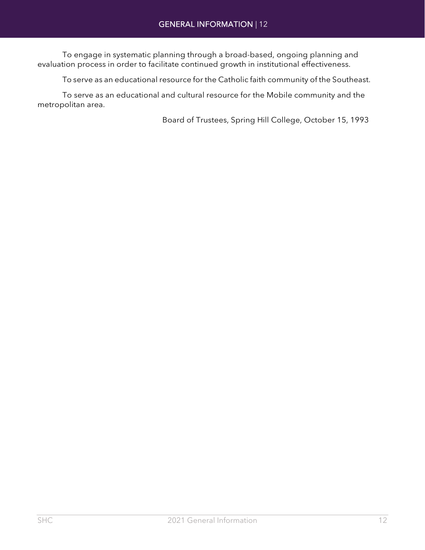To engage in systematic planning through a broad-based, ongoing planning and evaluation process in order to facilitate continued growth in institutional effectiveness.

To serve as an educational resource for the Catholic faith community of the Southeast.

To serve as an educational and cultural resource for the Mobile community and the metropolitan area.

Board of Trustees, Spring Hill College, October 15, 1993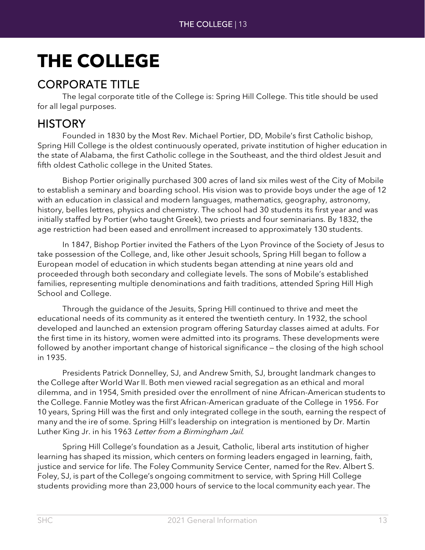## <span id="page-12-0"></span>**THE COLLEGE**

<span id="page-12-1"></span>CORPORATE TITLE<br>The legal corporate title of the College is: Spring Hill College. This title should be used for all legal purposes.

<span id="page-12-2"></span>HISTORY<br>Founded in 1830 by the Most Rev. Michael Portier, DD, Mobile's first Catholic bishop, Spring Hill College is the oldest continuously operated, private institution of higher education in the state of Alabama, the first Catholic college in the Southeast, and the third oldest Jesuit and fifth oldest Catholic college in the United States.

Bishop Portier originally purchased 300 acres of land six miles west of the City of Mobile to establish a seminary and boarding school. His vision was to provide boys under the age of 12 with an education in classical and modern languages, mathematics, geography, astronomy, history, belles lettres, physics and chemistry. The school had 30 students its first year and was initially staffed by Portier (who taught Greek), two priests and four seminarians. By 1832, the age restriction had been eased and enrollment increased to approximately 130 students.

In 1847, Bishop Portier invited the Fathers of the Lyon Province of the Society of Jesus to take possession of the College, and, like other Jesuit schools, Spring Hill began to follow a European model of education in which students began attending at nine years old and proceeded through both secondary and collegiate levels. The sons of Mobile's established families, representing multiple denominations and faith traditions, attended Spring Hill High School and College.

Through the guidance of the Jesuits, Spring Hill continued to thrive and meet the educational needs of its community as it entered the twentieth century. In 1932, the school developed and launched an extension program offering Saturday classes aimed at adults. For the first time in its history, women were admitted into its programs. These developments were followed by another important change of historical significance — the closing of the high school in 1935.

Presidents Patrick Donnelley, SJ, and Andrew Smith, SJ, brought landmark changes to the College after World War II. Both men viewed racial segregation as an ethical and moral dilemma, and in 1954, Smith presided over the enrollment of nine African-American students to the College. Fannie Motley was the first African-American graduate of the College in 1956. For 10 years, Spring Hill was the first and only integrated college in the south, earning the respect of many and the ire of some. Spring Hill's leadership on integration is mentioned by Dr. Martin Luther King Jr. in his 1963 Letter from a Birmingham Jail.

Spring Hill College's foundation as a Jesuit, Catholic, liberal arts institution of higher learning has shaped its mission, which centers on forming leaders engaged in learning, faith, justice and service for life. The Foley Community Service Center, named for the Rev. Albert S. Foley, SJ, is part of the College's ongoing commitment to service, with Spring Hill College students providing more than 23,000 hours of service to the local community each year. The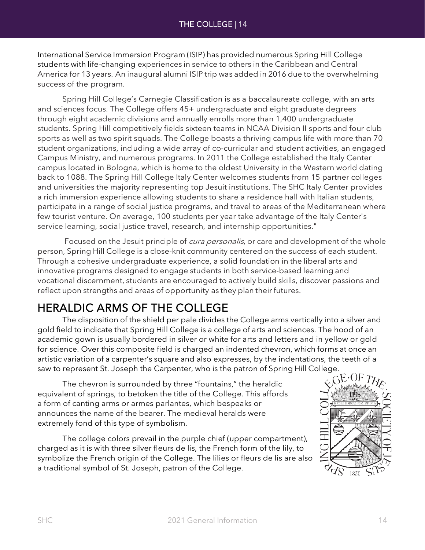International Service Immersion Program (ISIP) has provided numerous Spring Hill College students with life-changing experiences in service to others in the Caribbean and Central America for 13 years. An inaugural alumni ISIP trip was added in 2016 due to the overwhelming success of the program.

Spring Hill College's Carnegie Classification is as a baccalaureate college, with an arts and sciences focus. The College offers 45+ undergraduate and eight graduate degrees through eight academic divisions and annually enrolls more than 1,400 undergraduate students. Spring Hill competitively fields sixteen teams in NCAA Division II sports and four club sports as well as two spirit squads. The College boasts a thriving campus life with more than 70 student organizations, including a wide array of co-curricular and student activities, an engaged Campus Ministry, and numerous programs. In 2011 the College established the Italy Center campus located in Bologna, which is home to the oldest University in the Western world dating back to 1088. The Spring Hill College Italy Center welcomes students from 15 partner colleges and universities the majority representing top Jesuit institutions. The SHC Italy Center provides a rich immersion experience allowing students to share a residence hall with Italian students, participate in a range of social justice programs, and travel to areas of the Mediterranean where few tourist venture. On average, 100 students per year take advantage of the Italy Center's service learning, social justice travel, research, and internship opportunities."

Focused on the Jesuit principle of *cura personalis*, or care and development of the whole person, Spring Hill College is a close-knit community centered on the success of each student. Through a cohesive undergraduate experience, a solid foundation in the liberal arts and innovative programs designed to engage students in both service-based learning and vocational discernment, students are encouraged to actively build skills, discover passions and reflect upon strengths and areas of opportunity as they plan their futures.

<span id="page-13-0"></span>HERALDIC ARMS OF THE COLLEGE<br>The disposition of the shield per pale divides the College arms vertically into a silver and gold field to indicate that Spring Hill College is a college of arts and sciences. The hood of an academic gown is usually bordered in silver or white for arts and letters and in yellow or gold for science. Over this composite field is charged an indented chevron, which forms at once an artistic variation of a carpenter's square and also expresses, by the indentations, the teeth of a saw to represent St. Joseph the Carpenter, who is the patron of Spring Hill College.

The chevron is surrounded by three "fountains," the heraldic equivalent of springs, to betoken the title of the College. This affords a form of canting arms or armes parlantes, which bespeaks or announces the name of the bearer. The medieval heralds were extremely fond of this type of symbolism.

The college colors prevail in the purple chief (upper compartment), charged as it is with three silver fleurs de lis, the French form of the lily, to symbolize the French origin of the College. The lilies or fleurs de lis are also a traditional symbol of St. Joseph, patron of the College.

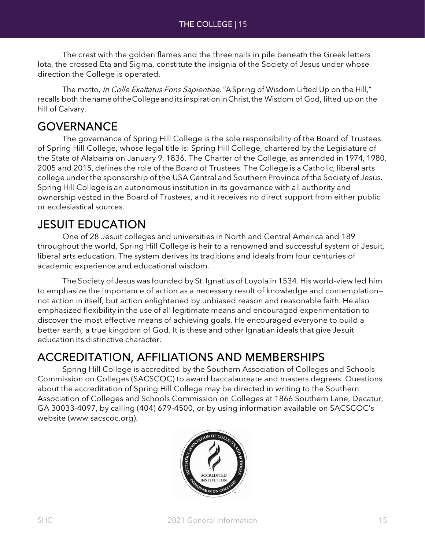The crest with the golden flames and the three nails in pile beneath the Greek letters Iota, the crossed Eta and Sigma, constitute the insignia of the Society of Jesus under whose direction the College is operated.

The motto, In Colle Exaltatus Fons Sapientiae, "A Spring of Wisdom Lifted Up on the Hill," recalls both thenameoftheCollegeandits inspirationinChrist,the Wisdom of God, lifted up on the hill of Calvary.

<span id="page-14-0"></span>GOVERNANCE<br>The governance of Spring Hill College is the sole responsibility of the Board of Trustees of Spring Hill College, whose legal title is: Spring Hill College, chartered by the Legislature of the State of Alabama on January 9, 1836. The Charter of the College, as amended in 1974, 1980, 2005 and 2015, defines the role of the Board of Trustees. The College is a Catholic, liberal arts college under the sponsorship of the USA Central and Southern Province of the Society of Jesus. Spring Hill College is an autonomous institution in its governance with all authority and ownership vested in the Board of Trustees, and it receives no direct support from either public or ecclesiastical sources.

<span id="page-14-1"></span>**JESUIT EDUCATION**<br>One of 28 Jesuit colleges and universities in North and Central America and 189 throughout the world, Spring Hill College is heir to a renowned and successful system of Jesuit, liberal arts education. The system derives its traditions and ideals from four centuries of academic experience and educational wisdom.

The Society of Jesus was founded by St. Ignatius of Loyola in 1534. His world-view led him to emphasize the importance of action as a necessary result of knowledge and contemplation not action in itself, but action enlightened by unbiased reason and reasonable faith. He also emphasized flexibility in the use of all legitimate means and encouraged experimentation to discover the most effective means of achieving goals. He encouraged everyone to build a better earth, a true kingdom of God. It is these and other Ignatian ideals that give Jesuit education its distinctive character.

## <span id="page-14-2"></span>ACCREDITATION, AFFILIATIONS AND MEMBERSHIPS Spring Hill College is accredited by the Southern Association of Colleges and Schools

Commission on Colleges (SACSCOC) to award baccalaureate and masters degrees. Questions about the accreditation of Spring Hill College may be directed in writing to the Southern Association of Colleges and Schools Commission on Colleges at 1866 Southern Lane, Decatur, GA 30033-4097, by calling (404) 679-4500, or by using information available on SACSCOC's website (www.sacscoc.org).

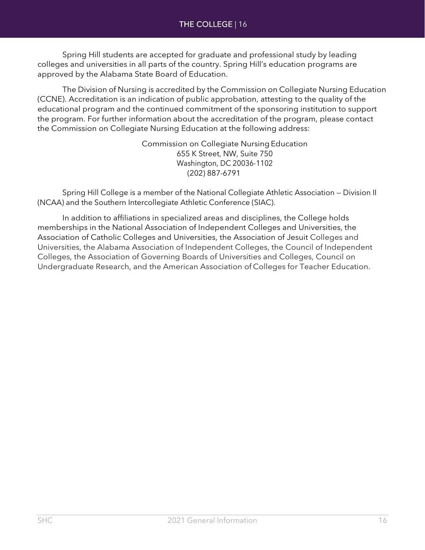Spring Hill students are accepted for graduate and professional study by leading colleges and universities in all parts of the country. Spring Hill's education programs are approved by the Alabama State Board of Education.

The Division of Nursing is accredited by the Commission on Collegiate Nursing Education (CCNE). Accreditation is an indication of public approbation, attesting to the quality of the educational program and the continued commitment of the sponsoring institution to support the program. For further information about the accreditation of the program, please contact the Commission on Collegiate Nursing Education at the following address:

> Commission on Collegiate NursingEducation 655 K Street, NW, Suite 750 Washington, DC 20036-1102 (202) 887-6791

Spring Hill College is a member of the National Collegiate Athletic Association — Division II (NCAA) and the Southern Intercollegiate Athletic Conference (SIAC).

In addition to affiliations in specialized areas and disciplines, the College holds memberships in the National Association of Independent Colleges and Universities, the Association of Catholic Colleges and Universities, the Association of Jesuit Colleges and Universities, the Alabama Association of Independent Colleges, the Council of Independent Colleges, the Association of Governing Boards of Universities and Colleges, Council on Undergraduate Research, and the American Association of Colleges for Teacher Education.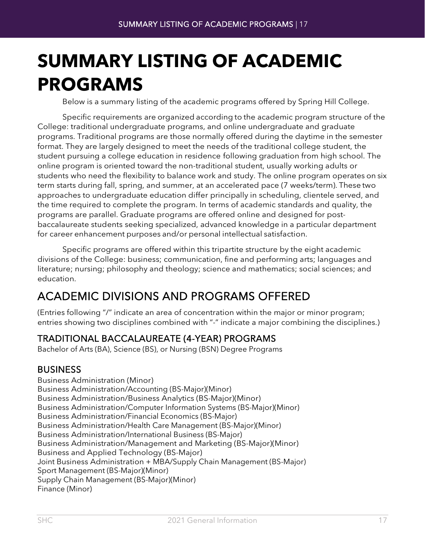## <span id="page-16-0"></span>**SUMMARY LISTING OF ACADEMIC PROGRAMS**

Below is a summary listing of the academic programs offered by Spring Hill College.

Specific requirements are organized according to the academic program structure of the College: traditional undergraduate programs, and online undergraduate and graduate programs. Traditional programs are those normally offered during the daytime in the semester format. They are largely designed to meet the needs of the traditional college student, the student pursuing a college education in residence following graduation from high school. The online program is oriented toward the non-traditional student, usually working adults or students who need the flexibility to balance work and study. The online program operates on six term starts during fall, spring, and summer, at an accelerated pace (7 weeks/term). These two approaches to undergraduate education differ principally in scheduling, clientele served, and the time required to complete the program. In terms of academic standards and quality, the programs are parallel. Graduate programs are offered online and designed for postbaccalaureate students seeking specialized, advanced knowledge in a particular department for career enhancement purposes and/or personal intellectual satisfaction.

Specific programs are offered within this tripartite structure by the eight academic divisions of the College: business; communication, fine and performing arts; languages and literature; nursing; philosophy and theology; science and mathematics; social sciences; and education.

## <span id="page-16-1"></span>ACADEMIC DIVISIONS AND PROGRAMS OFFERED

(Entries following "/" indicate an area of concentration within the major or minor program; entries showing two disciplines combined with "-" indicate a major combining the disciplines.)

### TRADITIONAL BACCALAUREATE (4-YEAR) PROGRAMS

Bachelor of Arts (BA), Science (BS), or Nursing (BSN) Degree Programs

### BUSINESS

Business Administration (Minor) Business Administration/Accounting (BS-Major)(Minor) Business Administration/Business Analytics (BS-Major)(Minor) Business Administration/Computer Information Systems (BS-Major)(Minor) Business Administration/Financial Economics (BS-Major) Business Administration/Health Care Management (BS-Major)(Minor) Business Administration/International Business (BS-Major) Business Administration/Management and Marketing (BS-Major)(Minor) Business and Applied Technology (BS-Major) Joint Business Administration + MBA/Supply Chain Management (BS-Major) Sport Management (BS-Major)(Minor) Supply Chain Management (BS-Major)(Minor) Finance (Minor)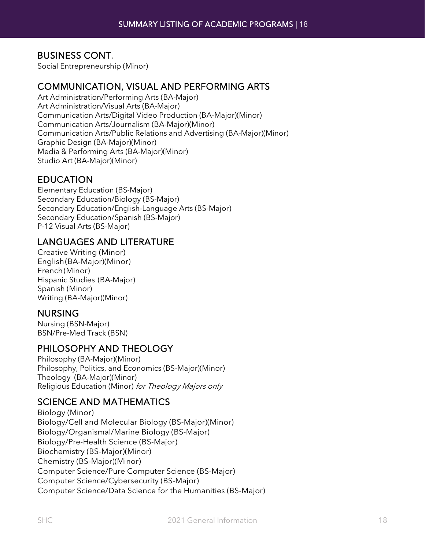### BUSINESS CONT.

Social Entrepreneurship (Minor)

### COMMUNICATION, VISUAL AND PERFORMING ARTS

Art Administration/Performing Arts (BA-Major) Art Administration/Visual Arts (BA-Major) Communication Arts/Digital Video Production (BA-Major)(Minor) Communication Arts/Journalism (BA-Major)(Minor) Communication Arts/Public Relations and Advertising (BA-Major)(Minor) Graphic Design (BA-Major)(Minor) Media & Performing Arts (BA-Major)(Minor) Studio Art (BA-Major)(Minor)

### EDUCATION

Elementary Education (BS-Major) Secondary Education/Biology (BS-Major) Secondary Education/English-Language Arts (BS-Major) Secondary Education/Spanish (BS-Major) P-12 Visual Arts (BS-Major)

### LANGUAGES AND LITERATURE

Creative Writing (Minor) English(BA-Major)(Minor) French(Minor) Hispanic Studies (BA-Major) Spanish (Minor) Writing (BA-Major)(Minor)

### NURSING

Nursing (BSN-Major) BSN/Pre-Med Track (BSN)

### PHILOSOPHY AND THEOLOGY

Philosophy (BA-Major)(Minor) Philosophy, Politics, and Economics (BS-Major)(Minor) Theology (BA-Major)(Minor) Religious Education (Minor) for Theology Majors only

### SCIENCE AND MATHEMATICS

Biology (Minor) Biology/Cell and Molecular Biology (BS-Major)(Minor) Biology/Organismal/Marine Biology (BS-Major) Biology/Pre-Health Science (BS-Major) Biochemistry (BS-Major)(Minor) Chemistry (BS-Major)(Minor) Computer Science/Pure Computer Science (BS-Major) Computer Science/Cybersecurity (BS-Major) Computer Science/Data Science for the Humanities (BS-Major)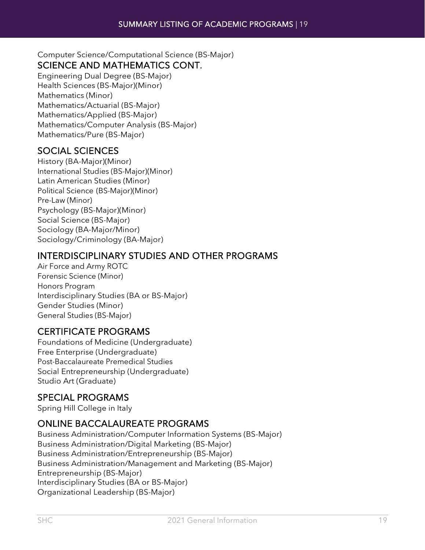Computer Science/Computational Science (BS-Major) SCIENCE AND MATHEMATICS CONT.

Engineering Dual Degree (BS-Major) Health Sciences (BS-Major)(Minor) Mathematics (Minor) Mathematics/Actuarial (BS-Major) Mathematics/Applied (BS-Major) Mathematics/Computer Analysis (BS-Major) Mathematics/Pure (BS-Major)

### SOCIAL SCIENCES

History (BA-Major)(Minor) International Studies (BS-Major)(Minor) Latin American Studies (Minor) Political Science (BS-Major)(Minor) Pre-Law (Minor) Psychology (BS-Major)(Minor) Social Science (BS-Major) Sociology (BA-Major/Minor) Sociology/Criminology (BA-Major)

### INTERDISCIPLINARY STUDIES AND OTHER PROGRAMS

Air Force and Army ROTC Forensic Science (Minor) Honors Program Interdisciplinary Studies (BA or BS-Major) Gender Studies (Minor) General Studies (BS-Major)

### CERTIFICATE PROGRAMS

Foundations of Medicine (Undergraduate) Free Enterprise (Undergraduate) Post-Baccalaureate Premedical Studies Social Entrepreneurship (Undergraduate) Studio Art (Graduate)

### SPECIAL PROGRAMS

Spring Hill College in Italy

### ONLINE BACCALAUREATE PROGRAMS

Business Administration/Computer Information Systems (BS-Major) Business Administration/Digital Marketing (BS-Major) Business Administration/Entrepreneurship (BS-Major) Business Administration/Management and Marketing (BS-Major) Entrepreneurship (BS-Major) Interdisciplinary Studies (BA or BS-Major) Organizational Leadership (BS-Major)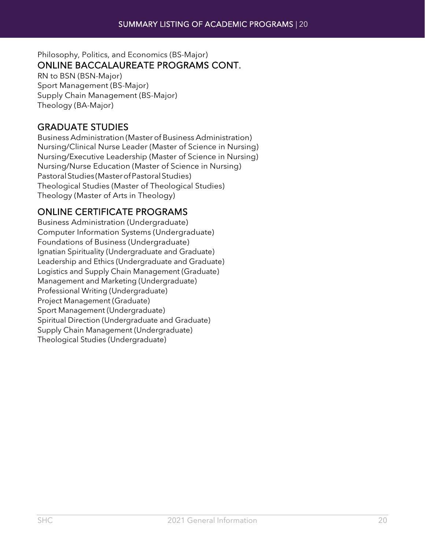### Philosophy, Politics, and Economics (BS-Major) ONLINE BACCALAUREATE PROGRAMS CONT.

RN to BSN (BSN-Major) Sport Management (BS-Major) Supply Chain Management (BS-Major) Theology (BA-Major)

### GRADUATE STUDIES

Business Administration (Master of Business Administration) Nursing/Clinical Nurse Leader (Master of Science in Nursing) Nursing/Executive Leadership (Master of Science in Nursing) Nursing/Nurse Education (Master of Science in Nursing) PastoralStudies (MasterofPastoralStudies) Theological Studies (Master of Theological Studies) Theology (Master of Arts in Theology)

### ONLINE CERTIFICATE PROGRAMS

Business Administration (Undergraduate) Computer Information Systems (Undergraduate) Foundations of Business (Undergraduate) Ignatian Spirituality (Undergraduate and Graduate) Leadership and Ethics (Undergraduate and Graduate) Logistics and Supply Chain Management (Graduate) Management and Marketing (Undergraduate) Professional Writing (Undergraduate) Project Management (Graduate) Sport Management (Undergraduate) Spiritual Direction (Undergraduate and Graduate) Supply Chain Management (Undergraduate) Theological Studies (Undergraduate)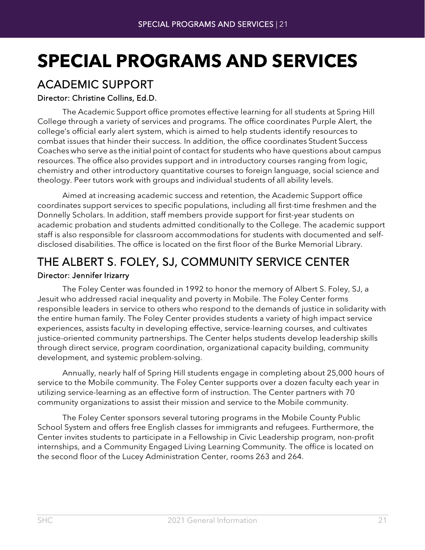## <span id="page-20-0"></span>**SPECIAL PROGRAMS AND SERVICES**

## <span id="page-20-1"></span>ACADEMIC SUPPORT

### Director: Christine Collins, Ed.D.

The Academic Support office promotes effective learning for all students at Spring Hill College through a variety of services and programs. The office coordinates Purple Alert, the college's official early alert system, which is aimed to help students identify resources to combat issues that hinder their success. In addition, the office coordinates Student Success Coaches who serve as the initial point of contact for students who have questions about campus resources. The office also provides support and in introductory courses ranging from logic, chemistry and other introductory quantitative courses to foreign language, social science and theology. Peer tutors work with groups and individual students of all ability levels.

Aimed at increasing academic success and retention, the Academic Support office coordinates support services to specific populations, including all first-time freshmen and the Donnelly Scholars. In addition, staff members provide support for first-year students on academic probation and students admitted conditionally to the College. The academic support staff is also responsible for classroom accommodations for students with documented and selfdisclosed disabilities. The office is located on the first floor of the Burke Memorial Library.

## <span id="page-20-2"></span>THE ALBERT S. FOLEY, SJ, COMMUNITY SERVICE CENTER

### Director: Jennifer Irizarry

The Foley Center was founded in 1992 to honor the memory of Albert S. Foley, SJ, a Jesuit who addressed racial inequality and poverty in Mobile. The Foley Center forms responsible leaders in service to others who respond to the demands of justice in solidarity with the entire human family. The Foley Center provides students a variety of high impact service experiences, assists faculty in developing effective, service-learning courses, and cultivates justice-oriented community partnerships. The Center helps students develop leadership skills through direct service, program coordination, organizational capacity building, community development, and systemic problem-solving.

Annually, nearly half of Spring Hill students engage in completing about 25,000 hours of service to the Mobile community. The Foley Center supports over a dozen faculty each year in utilizing service-learning as an effective form of instruction. The Center partners with 70 community organizations to assist their mission and service to the Mobile community.

The Foley Center sponsors several tutoring programs in the Mobile County Public School System and offers free English classes for immigrants and refugees. Furthermore, the Center invites students to participate in a Fellowship in Civic Leadership program, non-profit internships, and a Community Engaged Living Learning Community. The office is located on the second floor of the Lucey Administration Center, rooms 263 and 264.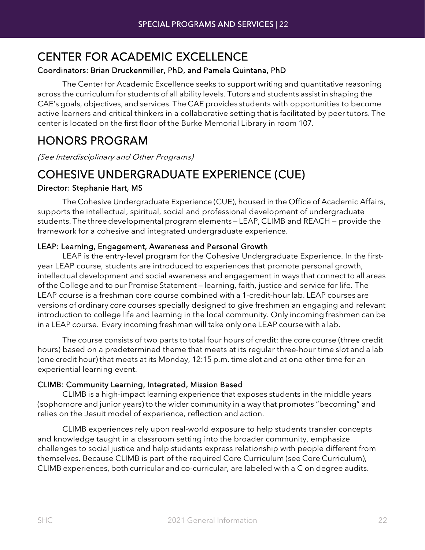### <span id="page-21-0"></span>CENTER FOR ACADEMIC EXCELLENCE

### Coordinators: Brian Druckenmiller, PhD, and Pamela Quintana, PhD

The Center for Academic Excellence seeks to support writing and quantitative reasoning across the curriculum for students of all ability levels. Tutors and students assist in shaping the CAE's goals, objectives, and services. The CAE provides students with opportunities to become active learners and critical thinkers in a collaborative setting that is facilitated by peer tutors. The center is located on the first floor of the Burke Memorial Library in room 107.

### <span id="page-21-1"></span>HONORS PROGRAM

(See Interdisciplinary and Other Programs)

### <span id="page-21-2"></span>COHESIVE UNDERGRADUATE EXPERIENCE (CUE)

### Director: Stephanie Hart, MS

The Cohesive Undergraduate Experience (CUE), housed in the Office of Academic Affairs, supports the intellectual, spiritual, social and professional development of undergraduate students. The threedevelopmental program elements — LEAP, CLIMB and REACH — provide the framework for a cohesive and integrated undergraduate experience.

### LEAP: Learning, Engagement, Awareness and Personal Growth

LEAP is the entry-level program for the Cohesive Undergraduate Experience. In the firstyear LEAP course, students are introduced to experiences that promote personal growth, intellectual development and social awareness and engagement in ways that connect to all areas of the College and to our Promise Statement — learning, faith, justice and service for life. The LEAP course is a freshman core course combined with a 1-credit-hour lab. LEAP courses are versions of ordinary core courses specially designed to give freshmen an engaging and relevant introduction to college life and learning in the local community. Only incoming freshmen can be in a LEAP course. Every incoming freshman will take only one LEAP course with a lab.

The course consists of two parts to total four hours of credit: the core course (three credit hours) based on a predetermined theme that meets at its regular three-hour time slot and a lab (one credit hour) that meets at its Monday, 12:15 p.m. time slot and at one other time for an experiential learning event.

### CLIMB: Community Learning, Integrated, Mission Based

CLIMB is a high-impact learning experience that exposes students in the middle years (sophomore and junior years) to the wider community in a way that promotes "becoming" and relies on the Jesuit model of experience, reflection and action.

CLIMB experiences rely upon real-world exposure to help students transfer concepts and knowledge taught in a classroom setting into the broader community, emphasize challenges to social justice and help students express relationship with people different from themselves. Because CLIMB is part of the required Core Curriculum (see Core Curriculum), CLIMB experiences, both curricular and co-curricular, are labeled with a C on degree audits.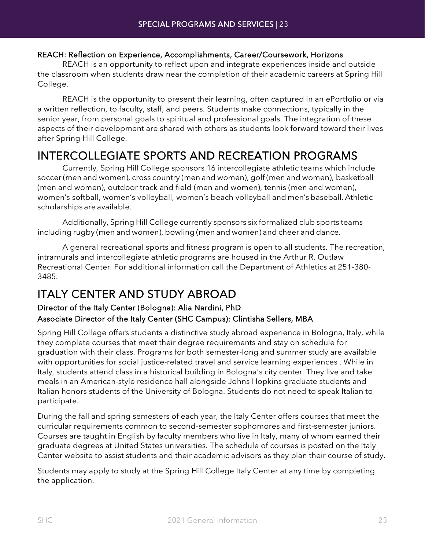### REACH: Reflection on Experience, Accomplishments, Career/Coursework, Horizons

REACH is an opportunity to reflect upon and integrate experiences inside and outside the classroom when students draw near the completion of their academic careers at Spring Hill College.

REACH is the opportunity to present their learning, often captured in an ePortfolio or via a written reflection, to faculty, staff, and peers. Students make connections, typically in the senior year, from personal goals to spiritual and professional goals. The integration of these aspects of their development are shared with others as students look forward toward their lives after Spring Hill College.

## <span id="page-22-0"></span>INTERCOLLEGIATE SPORTS AND RECREATION PROGRAMS Currently, Spring Hill College sponsors 16 intercollegiate athletic teams which include

soccer (men and women), cross country (men and women), golf (men and women), basketball (men and women), outdoor track and field (men and women), tennis (men and women), women's softball, women's volleyball, women's beach volleyball and men's baseball. Athletic scholarships are available.

Additionally, Spring Hill College currently sponsors six formalized club sports teams including rugby (men and women), bowling (men and women) and cheer and dance.

A general recreational sports and fitness program is open to all students. The recreation, intramurals and intercollegiate athletic programs are housed in the Arthur R. Outlaw Recreational Center. For additional information call the Department of Athletics at 251-380- 3485.

### <span id="page-22-1"></span>ITALY CENTER AND STUDY ABROAD

### Director of the Italy Center (Bologna): Alia Nardini, PhD Associate Director of the Italy Center (SHC Campus): Clintisha Sellers, MBA

Spring Hill College offers students a distinctive study abroad experience in Bologna, Italy, while they complete courses that meet their degree requirements and stay on schedule for graduation with their class. Programs for both semester-long and summer study are available with opportunities for social justice-related travel and service learning experiences . While in Italy, students attend class in a historical building in Bologna's city center. They live and take meals in an American-style residence hall alongside Johns Hopkins graduate students and Italian honors students of the University of Bologna. Students do not need to speak Italian to participate.

During the fall and spring semesters of each year, the Italy Center offers courses that meet the curricular requirements common to second-semester sophomores and first-semester juniors. Courses are taught in English by faculty members who live in Italy, many of whom earned their graduate degrees at United States universities. The schedule of courses is posted on the Italy Center website to assist students and their academic advisors as they plan their course of study.

Students may apply to study at the Spring Hill College Italy Center at any time by completing the application.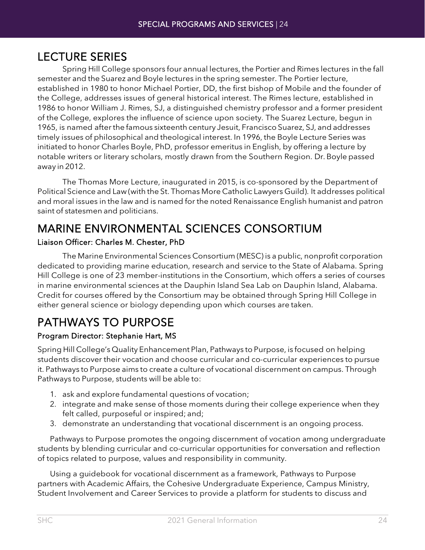<span id="page-23-0"></span>LECTURE SERIES<br>Spring Hill College sponsors four annual lectures, the Portier and Rimes lectures in the fall semester and the Suarez and Boyle lectures in the spring semester. The Portier lecture, established in 1980 to honor Michael Portier, DD, the first bishop of Mobile and the founder of the College, addresses issues of general historical interest. The Rimes lecture, established in 1986 to honor William J. Rimes, SJ, a distinguished chemistry professor and a former president of the College, explores the influence of science upon society. The Suarez Lecture, begun in 1965, is named afterthe famous sixteenth century Jesuit, Francisco Suarez, SJ, and addresses timely issues of philosophical and theological interest. In 1996, the Boyle Lecture Series was initiated to honor Charles Boyle, PhD, professor emeritus in English, by offering a lecture by notable writers or literary scholars, mostly drawn from the Southern Region. Dr. Boyle passed away in 2012.

The Thomas More Lecture, inaugurated in 2015, is co-sponsored by the Department of Political Science and Law (with the St. Thomas More Catholic Lawyers Guild). It addresses political and moral issues in the law and is named for the noted Renaissance English humanist and patron saint of statesmen and politicians.

### <span id="page-23-1"></span>MARINE ENVIRONMENTAL SCIENCES CONSORTIUM

### Liaison Officer: Charles M. Chester, PhD

The Marine Environmental Sciences Consortium (MESC) is a public, nonprofit corporation dedicated to providing marine education, research and service to the State of Alabama. Spring Hill College is one of 23 member-institutions in the Consortium, which offers a series of courses in marine environmental sciences at the Dauphin Island Sea Lab on Dauphin Island, Alabama. Credit for courses offered by the Consortium may be obtained through Spring Hill College in either general science or biology depending upon which courses are taken.

## <span id="page-23-2"></span>PATHWAYS TO PURPOSE

### Program Director: Stephanie Hart, MS

Spring Hill College's Quality Enhancement Plan, Pathways to Purpose, is focused on helping students discover their vocation and choose curricular and co-curricular experiences to pursue it. Pathways to Purpose aims to create a culture of vocational discernment on campus. Through Pathways to Purpose, students will be able to:

- 1. ask and explore fundamental questions of vocation;
- 2. integrate and make sense of those moments during their college experience when they felt called, purposeful or inspired; and;
- 3. demonstrate an understanding that vocational discernment is an ongoing process.

Pathways to Purpose promotes the ongoing discernment of vocation among undergraduate students by blending curricular and co-curricular opportunities for conversation and reflection of topics related to purpose, values and responsibility in community.

Using a guidebook for vocational discernment as a framework, Pathways to Purpose partners with Academic Affairs, the Cohesive Undergraduate Experience, Campus Ministry, Student Involvement and Career Services to provide a platform for students to discuss and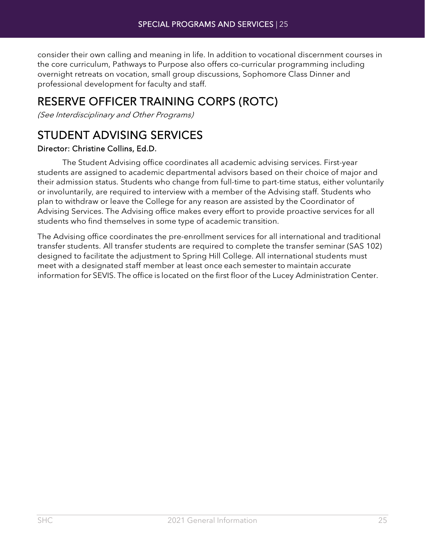consider their own calling and meaning in life. In addition to vocational discernment courses in the core curriculum, Pathways to Purpose also offers co-curricular programming including overnight retreats on vocation, small group discussions, Sophomore Class Dinner and professional development for faculty and staff.

## <span id="page-24-0"></span>RESERVE OFFICER TRAINING CORPS (ROTC)

(See Interdisciplinary and Other Programs)

### <span id="page-24-1"></span>STUDENT ADVISING SERVICES

### Director: Christine Collins, Ed.D.

The Student Advising office coordinates all academic advising services. First-year students are assigned to academic departmental advisors based on their choice of major and their admission status. Students who change from full-time to part-time status, either voluntarily or involuntarily, are required to interview with a member of the Advising staff. Students who plan to withdraw or leave the College for any reason are assisted by the Coordinator of Advising Services. The Advising office makes every effort to provide proactive services for all students who find themselves in some type of academic transition.

The Advising office coordinates the pre-enrollment services for all international and traditional transfer students. All transfer students are required to complete the transfer seminar (SAS 102) designed to facilitate the adjustment to Spring Hill College. All international students must meet with a designated staff member at least once each semester to maintain accurate information for SEVIS. The office is located on the first floor of the Lucey Administration Center.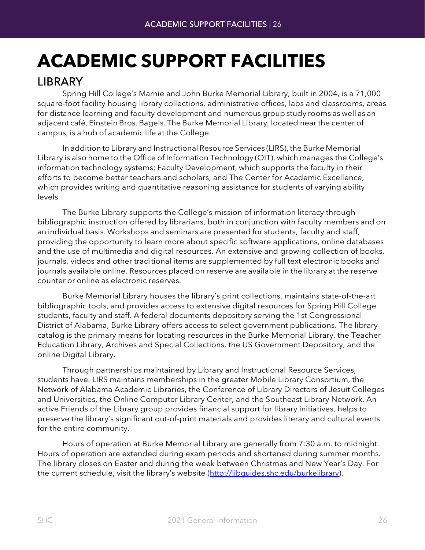# <span id="page-25-0"></span>**ACADEMIC SUPPORT FACILITIES**

<span id="page-25-1"></span>LIBRARY Spring Hill College's Marnie and John Burke Memorial Library, built in 2004, is a 71,000 square-foot facility housing library collections, administrative offices, labs and classrooms, areas for distance learning and faculty development and numerous group study rooms as well as an adjacent café, Einstein Bros. Bagels. The Burke Memorial Library, located near the center of campus, is a hub of academic life at the College.

In addition to Library and Instructional Resource Services (LIRS), the Burke Memorial Library is also home to the Office of Information Technology (OIT), which manages the College's information technology systems; Faculty Development, which supports the faculty in their efforts to become better teachers and scholars, and The Center for Academic Excellence, which provides writing and quantitative reasoning assistance for students of varying ability levels.

The Burke Library supports the College's mission of information literacy through bibliographic instruction offered by librarians, both in conjunction with faculty members and on an individual basis. Workshops and seminars are presented for students, faculty and staff, providing the opportunity to learn more about specific software applications, online databases and the use of multimedia and digital resources. An extensive and growing collection of books, journals, videos and other traditional items are supplemented by full text electronic books and journals available online. Resources placed on reserve are available in the library at the reserve counter or online as electronic reserves.

Burke Memorial Library houses the library's print collections, maintains state-of-the-art bibliographic tools, and provides access to extensive digital resources for Spring Hill College students, faculty and staff. A federal documents depository serving the 1st Congressional District of Alabama, Burke Library offers access to select government publications. The library catalog is the primary means for locating resources in the Burke Memorial Library, the Teacher Education Library, Archives and Special Collections, the US Government Depository, and the online Digital Library.

Through partnerships maintained by Library and Instructional Resource Services, students have. LIRS maintains memberships in the greater Mobile Library Consortium, the Network of Alabama Academic Libraries, the Conference of Library Directors of Jesuit Colleges and Universities, the Online Computer Library Center, and the Southeast Library Network. An active Friends of the Library group provides financial support for library initiatives, helps to preserve the library's significant out-of-print materials and provides literary and cultural events for the entire community.

Hours of operation at Burke Memorial Library are generally from 7:30 a.m. to midnight. Hours of operation are extended during exam periods and shortened during summer months. The library closes on Easter and during the week between Christmas and New Year's Day. For the current schedule, visit the library's website [\(http://libguides.shc.edu/burkelibrary\)](http://libguides.shc.edu/burkelibrary).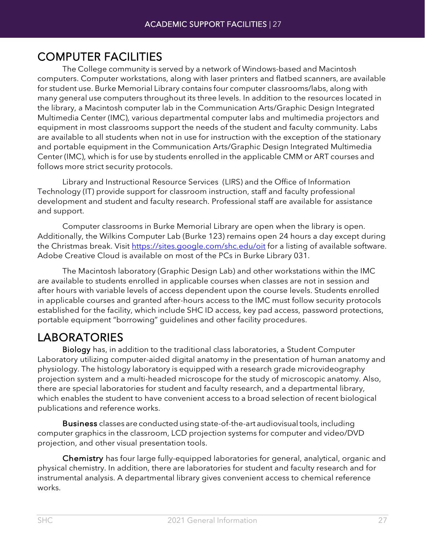<span id="page-26-0"></span>COMPUTER FACILITIES The College community is served by <sup>a</sup> network of Windows-based and Macintosh computers. Computer workstations, along with laser printers and flatbed scanners, are available for student use. Burke Memorial Library contains four computer classrooms/labs, along with many general use computers throughout its three levels. In addition to the resources located in the library, a Macintosh computer lab in the Communication Arts/Graphic Design Integrated Multimedia Center (IMC), various departmental computer labs and multimedia projectors and equipment in most classrooms support the needs of the student and faculty community. Labs are available to all students when not in use for instruction with the exception of the stationary and portable equipment in the Communication Arts/Graphic Design Integrated Multimedia Center (IMC), which is for use by students enrolled in the applicable CMM or ART courses and follows more strict security protocols.

Library and Instructional Resource Services (LIRS) and the Office of Information Technology (IT) provide support for classroom instruction, staff and faculty professional development and student and faculty research. Professional staff are available for assistance and support.

Computer classrooms in Burke Memorial Library are open when the library is open. Additionally, the Wilkins Computer Lab (Burke 123) remains open 24 hours a day except during the Christmas break. Visit<https://sites.google.com/shc.edu/oit> for a listing of available software. Adobe Creative Cloud is available on most of the PCs in Burke Library 031.

The Macintosh laboratory (Graphic Design Lab) and other workstations within the IMC are available to students enrolled in applicable courses when classes are not in session and after hours with variable levels of access dependent upon the course levels. Students enrolled in applicable courses and granted after-hours access to the IMC must follow security protocols established for the facility, which include SHC ID access, key pad access, password protections, portable equipment "borrowing" guidelines and other facility procedures.

<span id="page-26-1"></span>LABORATORIES<br>Biology has, in addition to the traditional class laboratories, a Student Computer Laboratory utilizing computer-aided digital anatomy in the presentation of human anatomy and physiology. The histology laboratory is equipped with a research grade microvideography projection system and a multi-headed microscope for the study of microscopic anatomy. Also, there are special laboratories for student and faculty research, and a departmental library, which enables the student to have convenient access to a broad selection of recent biological publications and reference works.

Business classes are conducted using state-of-the-art audiovisual tools, including computer graphics in the classroom, LCD projection systems for computer and video/DVD projection, and other visual presentation tools.

Chemistry has four large fully-equipped laboratories for general, analytical, organic and physical chemistry. In addition, there are laboratories for student and faculty research and for instrumental analysis. A departmental library gives convenient access to chemical reference works.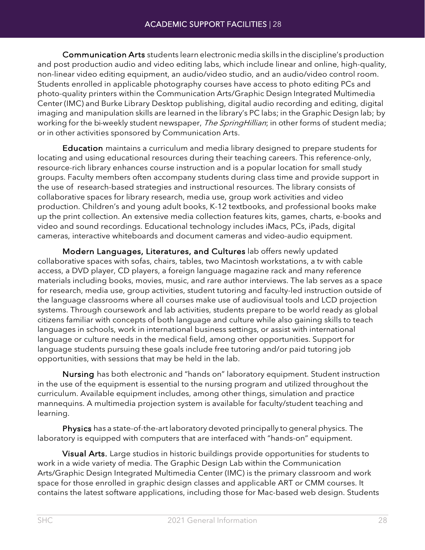Communication Arts students learn electronic media skills in thediscipline's production and post production audio and video editing labs, which include linear and online, high-quality, non-linear video editing equipment, an audio/video studio, and an audio/video control room. Students enrolled in applicable photography courses have access to photo editing PCs and photo-quality printers within the Communication Arts/Graphic Design Integrated Multimedia Center (IMC) and Burke Library Desktop publishing, digital audio recording and editing, digital imaging and manipulation skills are learned in the library's PC labs; in the Graphic Design lab; by working for the bi-weekly student newspaper, The SpringHillian; in other forms of student media; or in other activities sponsored by Communication Arts.

Education maintains a curriculum and media library designed to prepare students for locating and using educational resources during their teaching careers. This reference-only, resource-rich library enhances course instruction and is a popular location for small study groups. Faculty members often accompany students during class time and provide support in the use of research-based strategies and instructional resources. The library consists of collaborative spaces for library research, media use, group work activities and video production. Children's and young adult books, K-12 textbooks, and professional books make up the print collection. An extensive media collection features kits, games, charts, e-books and video and sound recordings. Educational technology includes iMacs, PCs, iPads, digital cameras, interactive whiteboards and document cameras and video-audio equipment.

Modern Languages, Literatures, and Cultures lab offers newly updated collaborative spaces with sofas, chairs, tables, two Macintosh workstations, a tv with cable access, a DVD player, CD players, a foreign language magazine rack and many reference materials including books, movies, music, and rare author interviews. The lab serves as a space for research, media use, group activities, student tutoring and faculty-led instruction outside of the language classrooms where all courses make use of audiovisual tools and LCD projection systems. Through coursework and lab activities, students prepare to be world ready as global citizens familiar with concepts of both language and culture while also gaining skills to teach languages in schools, work in international business settings, or assist with international language or culture needs in the medical field, among other opportunities. Support for language students pursuing these goals include free tutoring and/or paid tutoring job opportunities, with sessions that may be held in the lab.

Nursing has both electronic and "hands on" laboratory equipment. Student instruction in the use of the equipment is essential to the nursing program and utilized throughout the curriculum. Available equipment includes, among other things, simulation and practice mannequins. A multimedia projection system is available for faculty/student teaching and learning.

Physics has a state-of-the-art laboratory devoted principally to general physics. The laboratory is equipped with computers that are interfaced with "hands-on" equipment.

Visual Arts. Large studios in historic buildings provide opportunities for students to work in a wide variety of media. The Graphic Design Lab within the Communication Arts/Graphic Design Integrated Multimedia Center (IMC) is the primary classroom and work space for those enrolled in graphic design classes and applicable ART or CMM courses. It contains the latest software applications, including those for Mac-based web design. Students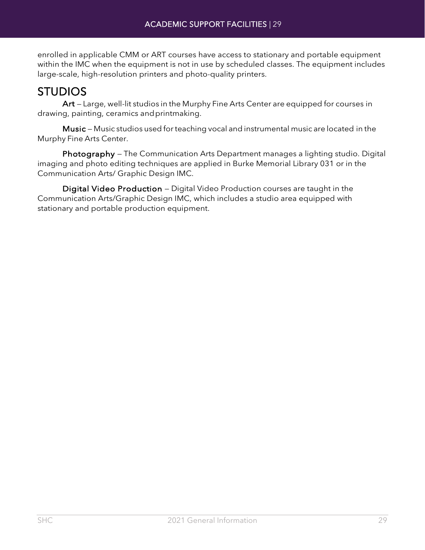enrolled in applicable CMM or ART courses have access to stationary and portable equipment within the IMC when the equipment is not in use by scheduled classes. The equipment includes large-scale, high-resolution printers and photo-quality printers.

<span id="page-28-0"></span>STUDIOS Art — Large, well-lit studios in the Murphy Fine Arts Center are equipped for courses in drawing, painting, ceramics andprintmaking.

Music — Music studios used forteaching vocal and instrumental music are located in the Murphy Fine Arts Center.

Photography – The Communication Arts Department manages a lighting studio. Digital imaging and photo editing techniques are applied in Burke Memorial Library 031 or in the Communication Arts/ Graphic Design IMC.

Digital Video Production — Digital Video Production courses are taught in the Communication Arts/Graphic Design IMC, which includes a studio area equipped with stationary and portable production equipment.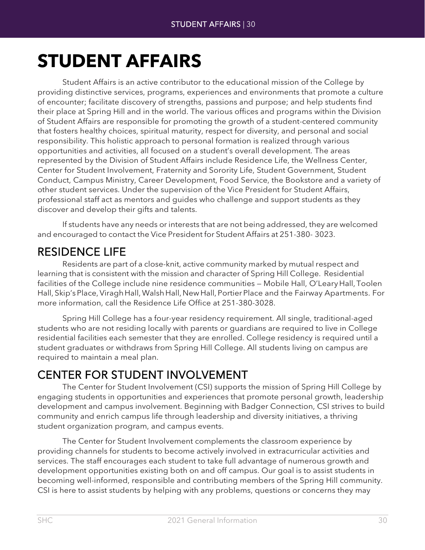## <span id="page-29-0"></span>**STUDENT AFFAIRS**

Student Affairs is an active contributor to the educational mission of the College by providing distinctive services, programs, experiences and environments that promote a culture of encounter; facilitate discovery of strengths, passions and purpose; and help students find their place at Spring Hill and in the world. The various offices and programs within the Division of Student Affairs are responsible for promoting the growth of a student-centered community that fosters healthy choices, spiritual maturity, respect for diversity, and personal and social responsibility. This holistic approach to personal formation is realized through various opportunities and activities, all focused on a student's overall development. The areas represented by the Division of Student Affairs include Residence Life, the Wellness Center, Center for Student Involvement, Fraternity and Sorority Life, Student Government, Student Conduct, Campus Ministry, Career Development, Food Service, the Bookstore and a variety of other student services. Under the supervision of the Vice President for Student Affairs, professional staff act as mentors and guides who challenge and support students as they discover and develop their gifts and talents.

If students have any needs or interests that are not being addressed, they are welcomed and encouraged to contact the Vice President for Student Affairs at 251-380- 3023.

<span id="page-29-1"></span>RESIDENCE LIFE<br>Residents are part of a close-knit, active community marked by mutual respect and learning that is consistent with the mission and character of Spring Hill College. Residential facilities of the College include nine residence communities — Mobile Hall, O'Leary Hall, Toolen Hall, Skip'sPlace,ViraghHall,WalshHall,NewHall, PortierPlace and the Fairway Apartments. For more information, call the Residence Life Office at 251-380-3028.

Spring Hill College has a four-year residency requirement. All single, traditional-aged students who are not residing locally with parents or guardians are required to live in College residential facilities each semester that they are enrolled. College residency is required until a student graduates or withdraws from Spring Hill College. All students living on campus are required to maintain a meal plan.

<span id="page-29-2"></span>CENTER FOR STUDENT INVOLVEMENT The Center for Student Involvement (CSI) supports the mission of Spring Hill College by engaging students in opportunities and experiences that promote personal growth, leadership development and campus involvement. Beginning with Badger Connection, CSI strives to build community and enrich campus life through leadership and diversity initiatives, a thriving student organization program, and campus events.

The Center for Student Involvement complements the classroom experience by providing channels for students to become actively involved in extracurricular activities and services. The staff encourages each student to take full advantage of numerous growth and development opportunities existing both on and off campus. Our goal is to assist students in becoming well-informed, responsible and contributing members of the Spring Hill community. CSI is here to assist students by helping with any problems, questions or concerns they may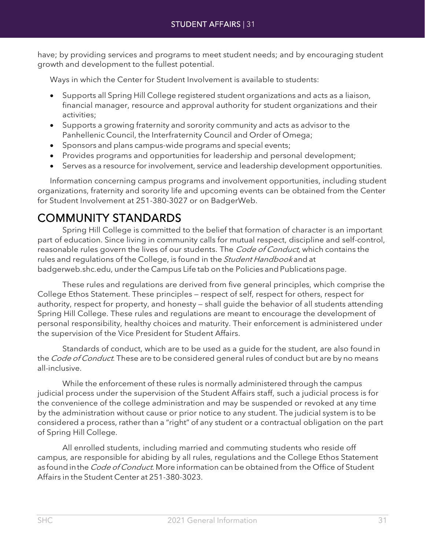have; by providing services and programs to meet student needs; and by encouraging student growth and development to the fullest potential.

Ways in which the Center for Student Involvement is available to students:

- Supports all Spring Hill College registered student organizations and acts as a liaison, financial manager, resource and approval authority for student organizations and their activities;
- Supports a growing fraternity and sorority community and acts as advisor to the Panhellenic Council, the Interfraternity Council and Order of Omega;
- Sponsors and plans campus-wide programs and special events;
- Provides programs and opportunities for leadership and personal development;
- Serves as a resource for involvement, service and leadership development opportunities.

Information concerning campus programs and involvement opportunities, including student organizations, fraternity and sorority life and upcoming events can be obtained from the Center for Student Involvement at 251-380-3027 or on BadgerWeb.

<span id="page-30-0"></span>COMMUNITY STANDARDS Spring Hill College is committed to the belief that formation of character is an important part of education. Since living in community calls for mutual respect, discipline and self-control, reasonable rules govern the lives of our students. The Code of Conduct, which contains the rules and regulations of the College, is found in the *Student Handbook* and at [badgerweb.shc.edu,](http://badgerweb.shc.edu/) under the Campus Life tab on the Policies and Publications page.

These rules and regulations are derived from five general principles, which comprise the College Ethos Statement. These principles — respect of self, respect for others, respect for authority, respect for property, and honesty — shall guide the behavior of all students attending Spring Hill College. These rules and regulations are meant to encourage the development of personal responsibility, healthy choices and maturity. Their enforcement is administered under the supervision of the Vice President for Student Affairs.

Standards of conduct, which are to be used as a guide for the student, are also found in the *Code of Conduct*. These are to be considered general rules of conduct but are by no means all-inclusive.

While the enforcement of these rules is normally administered through the campus judicial process under the supervision of the Student Affairs staff, such a judicial process is for the convenience of the college administration and may be suspended or revoked at any time by the administration without cause or prior notice to any student. The judicial system is to be considered a process, rather than a "right" of any student or a contractual obligation on the part of Spring Hill College.

All enrolled students, including married and commuting students who reside off campus, are responsible for abiding by all rules, regulations and the College Ethos Statement as found in the *Code of Conduct*. More information can be obtained from the Office of Student Affairs in the Student Center at 251-380-3023.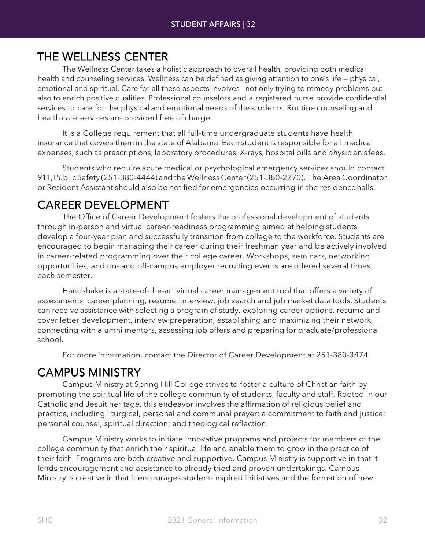<span id="page-31-0"></span>THE WELLNESS CENTER<br>The Wellness Center takes a holistic approach to overall health, providing both medical health and counseling services. Wellness can be defined as giving attention to one's life — physical, emotional and spiritual. Care for all these aspects involves not only trying to remedy problems but also to enrich positive qualities. Professional counselors and a registered nurse provide confidential services to care for the physical and emotional needs of the students. Routine counseling and health care services are provided free of charge.

It is a College requirement that all full-time undergraduate students have health insurance that covers them in the state of Alabama. Each student is responsible for all medical expenses, such as prescriptions, laboratory procedures, X-rays, hospital bills andphysician'sfees.

Students who require acute medical or psychological emergency services should contact 911,Public Safety (251-380-4444) andtheWellness Center(251-380-2270). The Area Coordinator or Resident Assistant should also be notified for emergencies occurring in the residencehalls.

<span id="page-31-1"></span>CAREER DEVELOPMENT The Office of Career Development fosters the professional development of students through in-person and virtual career-readiness programming aimed at helping students develop a four-year plan and successfully transition from college to the workforce. Students are encouraged to begin managing their career during their freshman year and be actively involved in career-related programming over their college career. Workshops, seminars, networking opportunities, and on- and off-campus employer recruiting events are offered several times each semester.

Handshake is a state-of-the-art virtual career management tool that offers a variety of assessments, career planning, resume, interview, job search and job market data tools. Students can receive assistance with selecting a program of study, exploring career options, resume and cover letter development, interview preparation, establishing and maximizing their network, connecting with alumni mentors, assessing job offers and preparing for graduate/professional school.

For more information, contact the Director of Career Development at 251-380-3474.

<span id="page-31-2"></span>CAMPUS MINISTRY<br>Campus Ministry at Spring Hill College strives to foster a culture of Christian faith by promoting the spiritual life of the college community of students, faculty and staff. Rooted in our Catholic and Jesuit heritage, this endeavor involves the affirmation of religious belief and practice, including liturgical, personal and communal prayer; a commitment to faith and justice; personal counsel; spiritual direction; and theological reflection.

Campus Ministry works to initiate innovative programs and projects for members of the college community that enrich their spiritual life and enable them to grow in the practice of their faith. Programs are both creative and supportive. Campus Ministry is supportive in that it lends encouragement and assistance to already tried and proven undertakings. Campus Ministry is creative in that it encourages student-inspired initiatives and the formation of new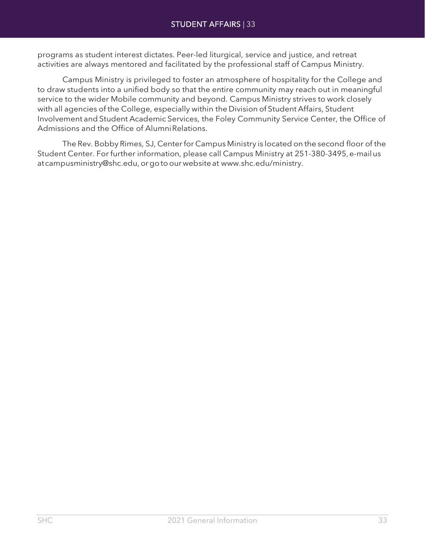programs as student interest dictates. Peer-led liturgical, service and justice, and retreat activities are always mentored and facilitated by the professional staff of Campus Ministry.

Campus Ministry is privileged to foster an atmosphere of hospitality for the College and to draw students into a unified body so that the entire community may reach out in meaningful service to the wider Mobile community and beyond. Campus Ministry strives to work closely with all agencies of the College, especially within the Division of Student Affairs, Student Involvement and Student Academic Services, the Foley Community Service Center, the Office of Admissions and the Office of Alumni Relations.

The Rev. Bobby Rimes, SJ, Centerfor Campus Ministry is located on the second floor of the Student Center. For further information, please call Campus Ministry at 251-380-3495, e-mailus a[tcampusministry@shc.edu,](mailto:campusministry@shc.edu) orgotoourwebsiteat [www.shc.edu/ministry.](http://www.shc.edu/ministry)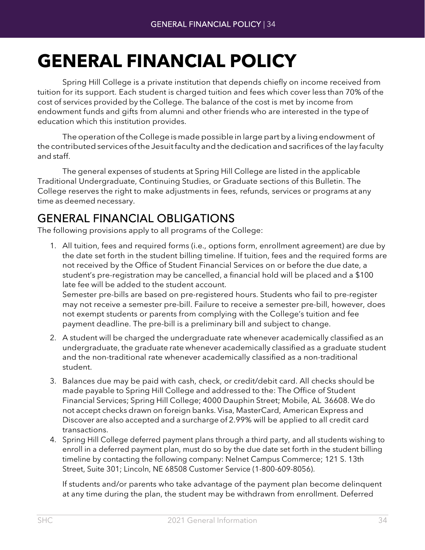## <span id="page-33-0"></span>**GENERAL FINANCIAL POLICY**

Spring Hill College is a private institution that depends chiefly on income received from tuition for its support. Each student is charged tuition and fees which cover less than 70% of the cost of services provided by the College. The balance of the cost is met by income from endowment funds and gifts from alumni and other friends who are interested in the typeof education which this institution provides.

The operation of the College is made possible in large part by a living endowment of the contributed services of the Jesuit faculty and the dedication and sacrifices of the lay faculty and staff.

The general expenses of students at Spring Hill College are listed in the applicable Traditional Undergraduate, Continuing Studies, or Graduate sections of this Bulletin. The College reserves the right to make adjustments in fees, refunds, services or programs at any time as deemed necessary.

## <span id="page-33-1"></span>GENERAL FINANCIAL OBLIGATIONS The following provisions apply to all programs of the College:

- 1. All tuition, fees and required forms (i.e., options form, enrollment agreement) are due by the date set forth in the student billing timeline. If tuition, fees and the required forms are not received by the Office of Student Financial Services on or before the due date, a student's pre-registration may be cancelled, a financial hold will be placed and a \$100 late fee will be added to the student account. Semester pre-bills are based on pre-registered hours. Students who fail to pre-register may not receive a semester pre-bill. Failure to receive a semester pre-bill, however, does not exempt students or parents from complying with the College's tuition and fee payment deadline. The pre-bill is a preliminary bill and subject to change.
- 2. A student will be charged the undergraduate rate whenever academically classified as an undergraduate, the graduate rate whenever academically classified as a graduate student and the non-traditional rate whenever academically classified as a non-traditional student.
- 3. Balances due may be paid with cash, check, or credit/debit card. All checks should be made payable to Spring Hill College and addressed to the: The Office of Student Financial Services; Spring Hill College; 4000 Dauphin Street; Mobile, AL 36608. We do not accept checks drawn on foreign banks. Visa, MasterCard, American Express and Discover are also accepted and a surcharge of 2.99% will be applied to all credit card transactions.
- 4. Spring Hill College deferred payment plans through a third party, and all students wishing to enroll in a deferred payment plan, must do so by the due date set forth in the student billing timeline by contacting the following company: Nelnet Campus Commerce; 121 S. 13th Street, Suite 301; Lincoln, NE 68508 Customer Service (1-800-609-8056).

If students and/or parents who take advantage of the payment plan become delinquent at any time during the plan, the student may be withdrawn from enrollment. Deferred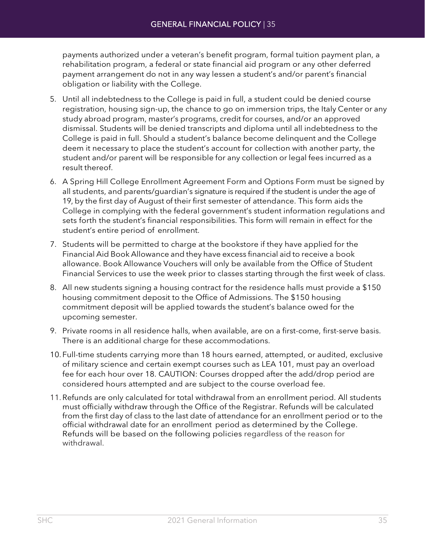payments authorized under a veteran's benefit program, formal tuition payment plan, a rehabilitation program, a federal or state financial aid program or any other deferred payment arrangement do not in any way lessen a student's and/or parent's financial obligation or liability with the College.

- 5. Until all indebtedness to the College is paid in full, a student could be denied course registration, housing sign-up, the chance to go on immersion trips, the Italy Center or any study abroad program, master's programs, credit for courses, and/or an approved dismissal. Students will be denied transcripts and diploma until all indebtedness to the College is paid in full. Should a student's balance become delinquent and the College deem it necessary to place the student's account for collection with another party, the student and/or parent will be responsible for any collection or legal fees incurred as a result thereof.
- 6. A Spring Hill College Enrollment Agreement Form and Options Form must be signed by all students, and parents/guardian's signature is required if the student is under the age of 19, by the first day of August of their first semester of attendance. This form aids the College in complying with the federal government's student information regulations and sets forth the student's financial responsibilities. This form will remain in effect for the student's entire period of enrollment.
- 7. Students will be permitted to charge at the bookstore if they have applied for the Financial Aid Book Allowance and they have excess financial aid to receive a book allowance. Book Allowance Vouchers will only be available from the Office of Student Financial Services to use the week prior to classes starting through the first week of class.
- 8. All new students signing a housing contract for the residence halls must provide a \$150 housing commitment deposit to the Office of Admissions. The \$150 housing commitment deposit will be applied towards the student's balance owed for the upcoming semester.
- 9. Private rooms in all residence halls, when available, are on a first-come, first-serve basis. There is an additional charge for these accommodations.
- 10. Full-time students carrying more than 18 hours earned, attempted, or audited, exclusive of military science and certain exempt courses such as LEA 101, must pay an overload fee for each hour over 18. CAUTION: Courses dropped after the add/drop period are considered hours attempted and are subject to the course overload fee.
- 11.Refunds are only calculated for total withdrawal from an enrollment period. All students must officially withdraw through the Office of the Registrar. Refunds will be calculated from the first day of class to the last date of attendance for an enrollment period or to the official withdrawal date for an enrollment period as determined by the College. Refunds will be based on the following policies regardless of the reason for withdrawal.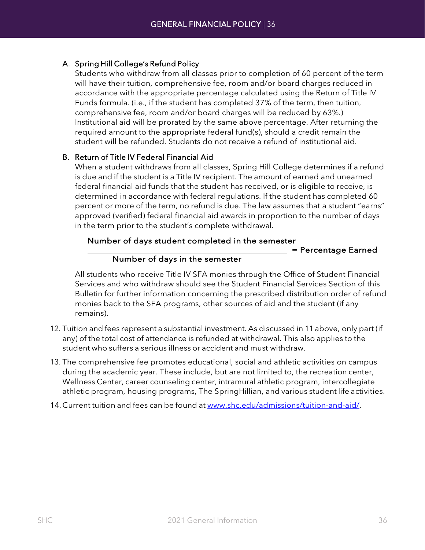### A. Spring Hill College's Refund Policy

Students who withdraw from all classes prior to completion of 60 percent of the term will have their tuition, comprehensive fee, room and/or board charges reduced in accordance with the appropriate percentage calculated using the Return of Title IV Funds formula. (i.e., if the student has completed 37% of the term, then tuition, comprehensive fee, room and/or board charges will be reduced by 63%.) Institutional aid will be prorated by the same above percentage. After returning the required amount to the appropriate federal fund(s), should a credit remain the student will be refunded. Students do not receive a refund of institutional aid.

### B. Return of Title IV Federal Financial Aid

When a student withdraws from all classes, Spring Hill College determines if a refund is due and if the student is a Title IV recipient. The amount of earned and unearned federal financial aid funds that the student has received, or is eligible to receive, is determined in accordance with federal regulations. If the student has completed 60 percent or more of the term, no refund is due. The law assumes that a student "earns" approved (verified) federal financial aid awards in proportion to the number of days in the term prior to the student's complete withdrawal.

### Number of days student completed in the semester

= Percentage Earned

### Number of days in the semester

All students who receive Title IV SFA monies through the Office of Student Financial Services and who withdraw should see the Student Financial Services Section of this Bulletin for further information concerning the prescribed distribution order of refund monies back to the SFA programs, other sources of aid and the student (if any remains).

- 12. Tuition and fees represent a substantial investment. As discussed in 11above, only part (if any) of the total cost of attendance is refunded at withdrawal. This also applies to the student who suffers a serious illness or accident and must withdraw.
- 13. The comprehensive fee promotes educational, social and athletic activities on campus during the academic year. These include, but are not limited to, the recreation center, Wellness Center, career counseling center, intramural athletic program, intercollegiate athletic program, housing programs, The SpringHillian, and various student life activities.
- 14. Current tuition and fees can be found at [www.shc.edu/admissions/tuition-and-aid/.](https://www.shc.edu/admissions/tuition-and-aid/)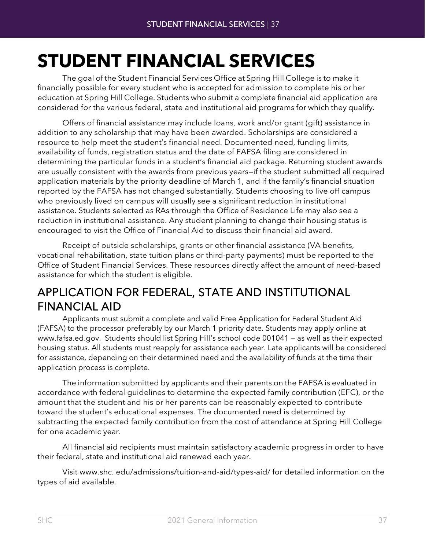## **STUDENT FINANCIAL SERVICES**

The goal of the Student Financial Services Office at Spring Hill College is to make it financially possible for every student who is accepted for admission to complete his or her education at Spring Hill College. Students who submit a complete financial aid application are considered for the various federal, state and institutional aid programs for which they qualify.

Offers of financial assistance may include loans, work and/or grant (gift) assistance in addition to any scholarship that may have been awarded. Scholarships are considered a resource to help meet the student's financial need. Documented need, funding limits, availability of funds, registration status and the date of FAFSA filing are considered in determining the particular funds in a student's financial aid package. Returning student awards are usually consistent with the awards from previous years—if the student submitted all required application materials by the priority deadline of March 1, and if the family's financial situation reported by the FAFSA has not changed substantially. Students choosing to live off campus who previously lived on campus will usually see a significant reduction in institutional assistance. Students selected as RAs through the Office of Residence Life may also see a reduction in institutional assistance. Any student planning to change their housing status is encouraged to visit the Office of Financial Aid to discuss their financial aid award.

Receipt of outside scholarships, grants or other financial assistance (VA benefits, vocational rehabilitation, state tuition plans or third-party payments) must be reported to the Office of Student Financial Services. These resources directly affect the amount of need-based assistance for which the student is eligible.

## APPLICATION FOR FEDERAL, STATE AND INSTITUTIONAL FINANCIAL AID<br>Applicants must submit a complete and valid Free Application for Federal Student Aid

(FAFSA) to the processor preferably by our March 1 priority date. Students may apply online at [www.fafsa.ed.gov.](http://www.fafsa.ed.gov/) Students should list Spring Hill's school code 001041 — as well as their expected housing status. All students must reapply for assistance each year. Late applicants will be considered for assistance, depending on their determined need and the availability of funds at the time their application process is complete.

The information submitted by applicants and their parents on the FAFSA is evaluated in accordance with federal guidelines to determine the expected family contribution (EFC), or the amount that the student and his or her parents can be reasonably expected to contribute toward the student's educational expenses. The documented need is determined by subtracting the expected family contribution from the cost of attendance at Spring Hill College for one academic year.

All financial aid recipients must maintain satisfactory academic progress in order to have their federal, state and institutional aid renewed each year.

Visit [www.shc.](http://www.shc.edu/admissions/tuition-and-aid/types-aid/) [edu/admissions/tuition-and-aid/types-aid/](http://www.shc.edu/admissions/tuition-and-aid/types-aid/) for detailed information on the types of aid available.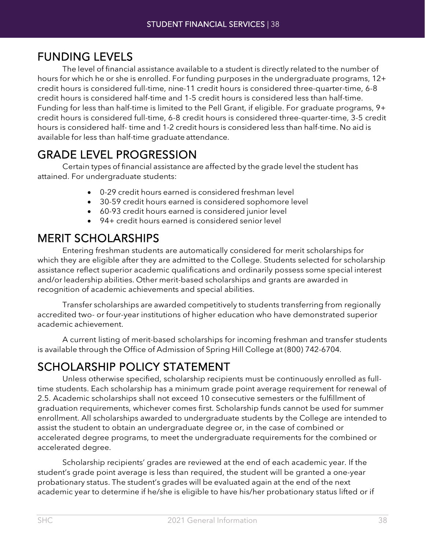FUNDING LEVELS<br>The level of financial assistance available to a student is directly related to the number of hours for which he or she is enrolled. For funding purposes in the undergraduate programs, 12+ credit hours is considered full-time, nine-11 credit hours is considered three-quarter-time, 6-8 credit hours is considered half-time and 1-5 credit hours is considered less than half-time. Funding for less than half-time is limited to the Pell Grant, if eligible. For graduate programs, 9+ credit hours is considered full-time, 6-8 credit hours is considered three-quarter-time, 3-5 credit hours is considered half- time and 1-2 credit hours is considered less than half-time. No aid is available for less than half-time graduate attendance.

GRADE LEVEL PROGRESSION<br>Certain types of financial assistance are affected by the grade level the student has attained. For undergraduate students:

- 0-29 credit hours earned is considered freshman level
- 30-59 credit hours earned is considered sophomore level
- 60-93 credit hours earned is considered junior level
- 94+ credit hours earned is considered senior level

MERIT SCHOLARSHIPS<br>Entering freshman students are automatically considered for merit scholarships for which they are eligible after they are admitted to the College. Students selected for scholarship assistance reflect superior academic qualifications and ordinarily possess some special interest and/or leadership abilities. Other merit-based scholarships and grants are awarded in recognition of academic achievements and special abilities.

Transfer scholarships are awarded competitively to students transferring from regionally accredited two- or four-year institutions of higher education who have demonstrated superior academic achievement.

A current listing of merit-based scholarships for incoming freshman and transfer students is available through the Office of Admission of Spring Hill College at (800) 742-6704.

SCHOLARSHIP POLICY STATEMENT Unless otherwise specified, scholarship recipients must be continuously enrolled as fulltime students. Each scholarship has a minimum grade point average requirement for renewal of 2.5. Academic scholarships shall not exceed 10 consecutive semesters or the fulfillment of graduation requirements, whichever comes first. Scholarship funds cannot be used for summer enrollment. All scholarships awarded to undergraduate students by the College are intended to assist the student to obtain an undergraduate degree or, in the case of combined or accelerated degree programs, to meet the undergraduate requirements for the combined or accelerated degree.

Scholarship recipients' grades are reviewed at the end of each academic year. If the student's grade point average is less than required, the student will be granted a one-year probationary status. The student's grades will be evaluated again at the end of the next academic year to determine if he/she is eligible to have his/her probationary status lifted or if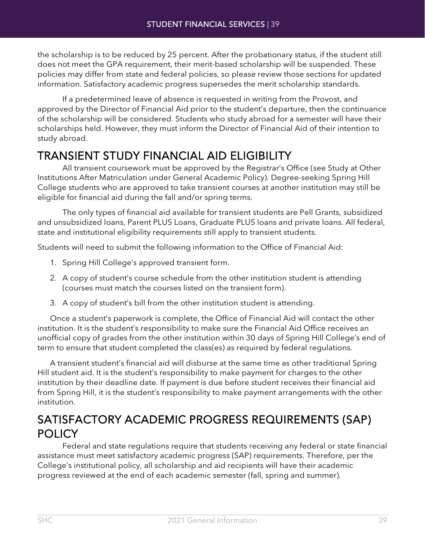the scholarship is to be reduced by 25 percent. After the probationary status, if the student still does not meet the GPA requirement, their merit-based scholarship will be suspended. These policies may differ from state and federal policies, so please review those sections for updated information. Satisfactory academic progress supersedes the merit scholarship standards.

If a predetermined leave of absence is requested in writing from the Provost, and approved by the Director of Financial Aid prior to the student's departure, then the continuance of the scholarship will be considered. Students who study abroad for a semester will have their scholarships held. However, they must inform the Director of Financial Aid of their intention to study abroad.

# TRANSIENT STUDY FINANCIAL AID ELIGIBILITY All transient coursework must be approved by the Registrar's Office (see Study at Other

Institutions After Matriculation under General Academic Policy). Degree-seeking Spring Hill College students who are approved to take transient courses at another institution may still be eligible for financial aid during the fall and/or spring terms.

The only types of financial aid available for transient students are Pell Grants, subsidized and unsubsidized loans, Parent PLUS Loans, Graduate PLUS loans and private loans. All federal, state and institutional eligibility requirements still apply to transient students.

Students will need to submit the following information to the Office of Financial Aid:

- 1. Spring Hill College's approved transient form.
- 2. A copy of student's course schedule from the other institution student is attending (courses must match the courses listed on the transient form).
- 3. A copy of student's bill from the other institution student is attending.

Once a student's paperwork is complete, the Office of Financial Aid will contact the other institution. It is the student's responsibility to make sure the Financial Aid Office receives an unofficial copy of grades from the other institution within 30 days of Spring Hill College's end of term to ensure that student completed the class(es) as required by federal regulations.

A transient student's financial aid will disburse at the same time as other traditional Spring Hill student aid. It is the student's responsibility to make payment for charges to the other institution by their deadline date. If payment is due before student receives their financial aid from Spring Hill, it is the student's responsibility to make payment arrangements with the other institution.

## SATISFACTORY ACADEMIC PROGRESS REQUIREMENTS (SAP) POLICY Federal and state regulations require that students receiving any federal or state financial

assistance must meet satisfactory academic progress (SAP) requirements. Therefore, per the College's institutional policy, all scholarship and aid recipients will have their academic progress reviewed at the end of each academic semester (fall, spring and summer).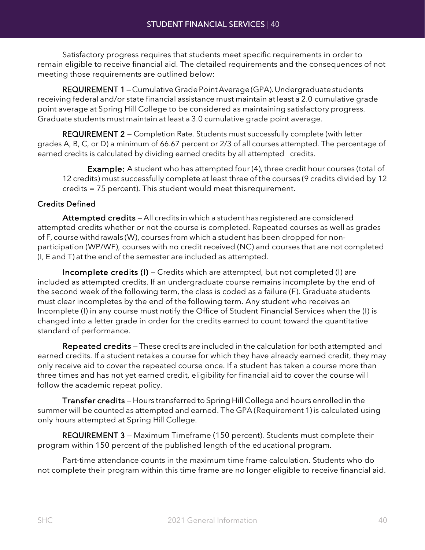Satisfactory progress requires that students meet specific requirements in order to remain eligible to receive financial aid. The detailed requirements and the consequences of not meeting those requirements are outlined below:

REQUIREMENT 1 - Cumulative Grade Point Average (GPA). Undergraduate students receiving federal and/or state financial assistance must maintain at least a 2.0 cumulative grade point average at Spring Hill College to be considered as maintaining satisfactory progress. Graduate students must maintain at least a 3.0 cumulative grade point average.

REQUIREMENT 2 – Completion Rate. Students must successfully complete (with letter grades A, B, C, or D) a minimum of 66.67 percent or 2/3 of all courses attempted. The percentage of earned credits is calculated by dividing earned credits by all attempted credits.

Example: A student who has attempted four (4), three credit hour courses (total of 12 credits) must successfully complete at least three of the courses (9 credits divided by 12 credits = 75 percent). This student would meet thisrequirement.

### Credits Defined

Attempted credits - All credits in which a student has registered are considered attempted credits whether or not the course is completed. Repeated courses as well as grades of F, course withdrawals (W), courses from which a student has been dropped for nonparticipation (WP/WF), courses with no credit received (NC) and courses that are not completed (I, E and T) at the end of the semester are included as attempted.

Incomplete credits (I) — Credits which are attempted, but not completed (I) are included as attempted credits. If an undergraduate course remains incomplete by the end of the second week of the following term, the class is coded as a failure (F). Graduate students must clear incompletes by the end of the following term. Any student who receives an Incomplete (I) in any course must notify the Office of Student Financial Services when the (I) is changed into a letter grade in order for the credits earned to count toward the quantitative standard of performance.

Repeated credits — These credits are included in the calculation for both attempted and earned credits. If a student retakes a course for which they have already earned credit, they may only receive aid to cover the repeated course once. If a student has taken a course more than three times and has not yet earned credit, eligibility for financial aid to cover the course will follow the academic repeat policy.

Transfer credits — Hours transferred to Spring Hill College and hours enrolled in the summer will be counted as attempted and earned. The GPA (Requirement 1) is calculated using only hours attempted at Spring Hill College.

REQUIREMENT 3 - Maximum Timeframe (150 percent). Students must complete their program within 150 percent of the published length of the educational program.

Part-time attendance counts in the maximum time frame calculation. Students who do not complete their program within this time frame are no longer eligible to receive financial aid.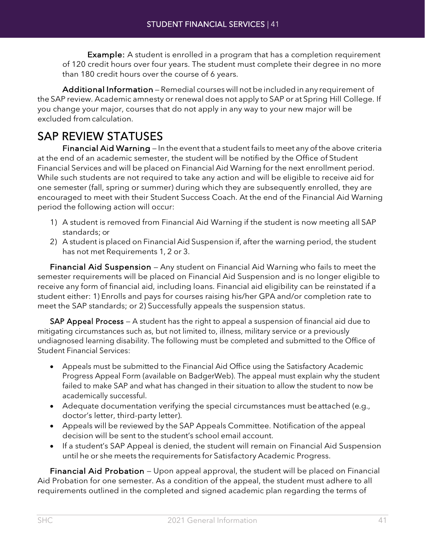**Example:** A student is enrolled in a program that has a completion requirement of 120 credit hours over four years. The student must complete their degree in no more than 180 credit hours over the course of 6 years.

Additional Information — Remedial courses will not be included in any requirement of the SAP review. Academic amnesty or renewal does not apply to SAP or at Spring Hill College. If you change your major, courses that do not apply in any way to your new major will be excluded from calculation.

SAP REVIEW STATUSES<br>Financial Aid Warning – In the event that a student fails to meet any of the above criteria at the end of an academic semester, the student will be notified by the Office of Student Financial Services and will be placed on Financial Aid Warning for the next enrollment period. While such students are not required to take any action and will be eligible to receive aid for one semester (fall, spring or summer) during which they are subsequently enrolled, they are encouraged to meet with their Student Success Coach. At the end of the Financial Aid Warning period the following action will occur:

- 1) A student is removed from Financial Aid Warning if the student is now meeting all SAP standards; or
- 2) A student is placed on Financial Aid Suspension if, after the warning period, the student has not met Requirements 1, 2 or 3.

Financial Aid Suspension — Any student on Financial Aid Warning who fails to meet the semester requirements will be placed on Financial Aid Suspension and is no longer eligible to receive any form of financial aid, including loans. Financial aid eligibility can be reinstated if a student either: 1) Enrolls and pays for courses raising his/her GPA and/or completion rate to meet the SAP standards; or 2) Successfully appeals the suspension status.

SAP Appeal Process - A student has the right to appeal a suspension of financial aid due to mitigating circumstances such as, but not limited to, illness, military service or a previously undiagnosed learning disability. The following must be completed and submitted to the Office of Student Financial Services:

- Appeals must be submitted to the Financial Aid Office using the Satisfactory Academic Progress Appeal Form (available on BadgerWeb). The appeal must explain why the student failed to make SAP and what has changed in their situation to allow the student to now be academically successful.
- Adequate documentation verifying the special circumstances must beattached (e.g., doctor's letter, third-party letter).
- Appeals will be reviewed by the SAP Appeals Committee. Notification of the appeal decision will be sent to the student's school email account.
- If a student's SAP Appeal is denied, the student will remain on Financial Aid Suspension until he or she meets the requirements for Satisfactory Academic Progress.

Financial Aid Probation — Upon appeal approval, the student will be placed on Financial Aid Probation for one semester. As a condition of the appeal, the student must adhere to all requirements outlined in the completed and signed academic plan regarding the terms of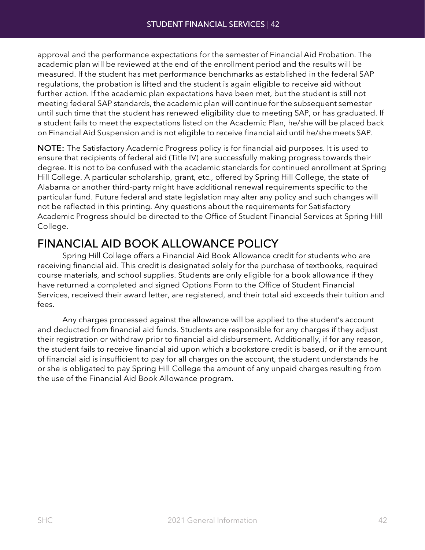approval and the performance expectations for the semester of Financial Aid Probation. The academic plan will be reviewed at the end of the enrollment period and the results will be measured. If the student has met performance benchmarks as established in the federal SAP regulations, the probation is lifted and the student is again eligible to receive aid without further action. If the academic plan expectations have been met, but the student is still not meeting federal SAP standards, the academic plan will continue for the subsequent semester until such time that the student has renewed eligibility due to meeting SAP, or has graduated. If a student fails to meet the expectations listed on the Academic Plan, he/she will be placed back on Financial Aid Suspension and is not eligible to receive financial aid until he/she meets SAP.

NOTE: The Satisfactory Academic Progress policy is for financial aid purposes. It is used to ensure that recipients of federal aid (Title IV) are successfully making progress towards their degree. It is not to be confused with the academic standards for continued enrollment at Spring Hill College. A particular scholarship, grant, etc., offered by Spring Hill College, the state of Alabama or another third-party might have additional renewal requirements specific to the particular fund. Future federal and state legislation may alter any policy and such changes will not be reflected in this printing. Any questions about the requirements for Satisfactory Academic Progress should be directed to the Office of Student Financial Services at Spring Hill College.

# FINANCIAL AID BOOK ALLOWANCE POLICY Spring Hill College offers a Financial Aid Book Allowance credit for students who are

receiving financial aid. This credit is designated solely for the purchase of textbooks, required course materials, and school supplies. Students are only eligible for a book allowance if they have returned a completed and signed Options Form to the Office of Student Financial Services, received their award letter, are registered, and their total aid exceeds their tuition and fees.

Any charges processed against the allowance will be applied to the student's account and deducted from financial aid funds. Students are responsible for any charges if they adjust their registration or withdraw prior to financial aid disbursement. Additionally, if for any reason, the student fails to receive financial aid upon which a bookstore credit is based, or if the amount of financial aid is insufficient to pay for all charges on the account, the student understands he or she is obligated to pay Spring Hill College the amount of any unpaid charges resulting from the use of the Financial Aid Book Allowance program.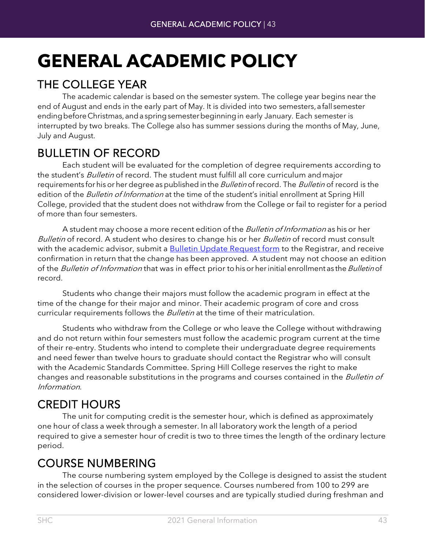## **GENERAL ACADEMIC POLICY**

THE COLLEGE YEAR<br>The academic calendar is based on the semester system. The college year begins near the end of August and ends in the early part of May. It is divided into two semesters, a fall semester ending before Christmas, and a spring semester beginning in early January. Each semester is interrupted by two breaks. The College also has summer sessions during the months of May, June, July and August.

BULLETIN OF RECORD<br>Each student will be evaluated for the completion of degree requirements according to the student's Bulletin of record. The student must fulfill all core curriculum and major requirements for his or her degree as published in the *Bulletin* of record. The *Bulletin* of record is the edition of the Bulletin of Information at the time of the student's initial enrollment at Spring Hill College, provided that the student does not withdraw from the College or fail to register for a period of more than four semesters.

A student may choose a more recent edition of the *Bulletin of Information* as his or her Bulletin of record. A student who desires to change his or her Bulletin of record must consult with the academic advisor, submit a [Bulletin Update Request form](https://badgerweb.shc.edu/ICS/Portlets/ICS/Handoutportlet/viewhandler.ashx?handout_id=7269cf87-7186-4a6a-8d5a-f973155c0190) to the Registrar, and receive confirmation in return that the change has been approved. A student may not choose an edition of the Bulletin of Information that was in effect prior to his or her initial enrollment as the Bulletin of record.

Students who change their majors must follow the academic program in effect at the time of the change for their major and minor. Their academic program of core and cross curricular requirements follows the *Bulletin* at the time of their matriculation.

Students who withdraw from the College or who leave the College without withdrawing and do not return within four semesters must follow the academic program current at the time of their re-entry. Students who intend to complete their undergraduate degree requirements and need fewer than twelve hours to graduate should contact the Registrar who will consult with the Academic Standards Committee. Spring Hill College reserves the right to make changes and reasonable substitutions in the programs and courses contained in the *Bulletin of* Information.

CREDIT HOURS<br>The unit for computing credit is the semester hour, which is defined as approximately one hour of class a week through a semester. In all laboratory work the length of a period required to give a semester hour of credit is two to three times the length of the ordinary lecture period.

COURSE NUMBERING The course numbering system employed by the College is designed to assist the student in the selection of courses in the proper sequence. Courses numbered from 100 to 299 are considered lower-division or lower-level courses and are typically studied during freshman and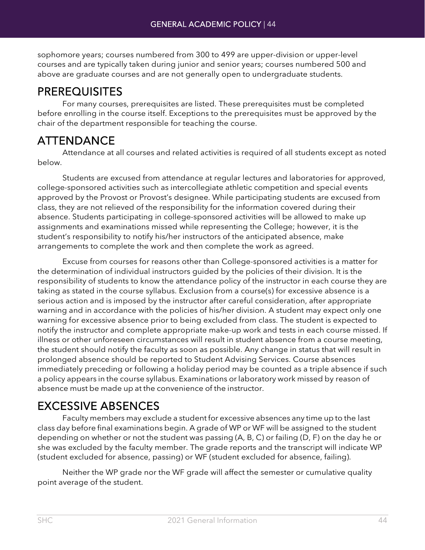sophomore years; courses numbered from 300 to 499 are upper-division or upper-level courses and are typically taken during junior and senior years; courses numbered 500 and above are graduate courses and are not generally open to undergraduate students.

**PREREQUISITES**<br>For many courses, prerequisites are listed. These prerequisites must be completed before enrolling in the course itself. Exceptions to the prerequisites must be approved by the chair of the department responsible for teaching the course.

ATTENDANCE Attendance at all courses and related activities is required of all students except as noted below.

Students are excused from attendance at regular lectures and laboratories for approved, college-sponsored activities such as intercollegiate athletic competition and special events approved by the Provost or Provost's designee. While participating students are excused from class, they are not relieved of the responsibility for the information covered during their absence. Students participating in college-sponsored activities will be allowed to make up assignments and examinations missed while representing the College; however, it is the student's responsibility to notify his/her instructors of the anticipated absence, make arrangements to complete the work and then complete the work as agreed.

Excuse from courses for reasons other than College-sponsored activities is a matter for the determination of individual instructors guided by the policies of their division. It is the responsibility of students to know the attendance policy of the instructor in each course they are taking as stated in the course syllabus. Exclusion from a course(s) for excessive absence is a serious action and is imposed by the instructor after careful consideration, after appropriate warning and in accordance with the policies of his/her division. A student may expect only one warning for excessive absence prior to being excluded from class. The student is expected to notify the instructor and complete appropriate make-up work and tests in each course missed. If illness or other unforeseen circumstances will result in student absence from a course meeting, the student should notify the faculty as soon as possible. Any change in status that will result in prolonged absence should be reported to Student Advising Services. Course absences immediately preceding or following a holiday period may be counted as a triple absence if such a policy appears in the course syllabus. Examinations or laboratory work missed by reason of absence must be made up at the convenience of the instructor.

EXCESSIVE ABSENCES Faculty members may exclude <sup>a</sup> student for excessive absences any time up to the last class day before final examinations begin. A grade of WP or WF will be assigned to the student depending on whether or not the student was passing (A, B, C) or failing (D, F) on the day he or she was excluded by the faculty member. The grade reports and the transcript will indicate WP (student excluded for absence, passing) or WF (student excluded for absence, failing).

Neither the WP grade nor the WF grade will affect the semester or cumulative quality point average of the student.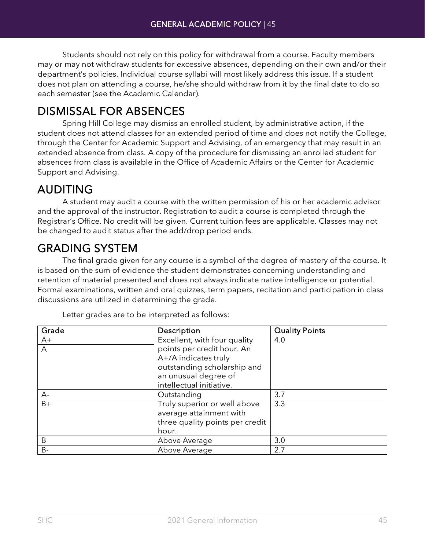Students should not rely on this policy for withdrawal from a course. Faculty members may or may not withdraw students for excessive absences, depending on their own and/or their department's policies. Individual course syllabi will most likely address this issue. If a student does not plan on attending a course, he/she should withdraw from it by the final date to do so each semester (see the Academic Calendar).

DISMISSAL FOR ABSENCES<br>Spring Hill College may dismiss an enrolled student, by administrative action, if the student does not attend classes for an extended period of time and does not notify the College, through the Center for Academic Support and Advising, of an emergency that may result in an extended absence from class. A copy of the procedure for dismissing an enrolled student for absences from class is available in the Office of Academic Affairs or the Center for Academic Support and Advising.

AUDITING A student may audit a course with the written permission of his or her academic advisor and the approval of the instructor. Registration to audit a course is completed through the Registrar's Office. No credit will be given. Current tuition fees are applicable. Classes may not be changed to audit status after the add/drop period ends.

GRADING SYSTEM<br>The final grade given for any course is a symbol of the degree of mastery of the course. It is based on the sum of evidence the student demonstrates concerning understanding and retention of material presented and does not always indicate native intelligence or potential. Formal examinations, written and oral quizzes, term papers, recitation and participation in class discussions are utilized in determining the grade.

| Grade | Description                     | <b>Quality Points</b> |
|-------|---------------------------------|-----------------------|
| $A+$  | Excellent, with four quality    | 4.0                   |
| Α     | points per credit hour. An      |                       |
|       | A+/A indicates truly            |                       |
|       | outstanding scholarship and     |                       |
|       | an unusual degree of            |                       |
|       | intellectual initiative.        |                       |
| $A -$ | Outstanding                     | 3.7                   |
| $B+$  | Truly superior or well above    | 3.3                   |
|       | average attainment with         |                       |
|       | three quality points per credit |                       |
|       | hour.                           |                       |
| B     | Above Average                   | 3.0                   |
| $B -$ | Above Average                   | 2.7                   |

Letter grades are to be interpreted as follows: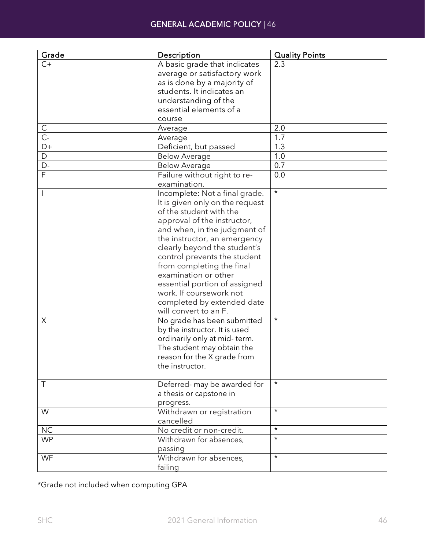| Grade                   | Description                                              | <b>Quality Points</b> |
|-------------------------|----------------------------------------------------------|-----------------------|
| $C+$                    | A basic grade that indicates                             | 2.3                   |
|                         | average or satisfactory work                             |                       |
|                         | as is done by a majority of                              |                       |
|                         | students. It indicates an                                |                       |
|                         | understanding of the                                     |                       |
|                         | essential elements of a                                  |                       |
|                         | course                                                   |                       |
| С                       | Average                                                  | 2.0                   |
| $\overline{C}$ -        | Average                                                  | 1.7                   |
| D+                      | Deficient, but passed                                    | 1.3                   |
| $\mathsf D$             | <b>Below Average</b>                                     | 1.0                   |
| $\overline{D}$          | <b>Below Average</b>                                     | $\overline{0.7}$      |
| $\overline{\mathsf{F}}$ | Failure without right to re-                             | 0.0                   |
|                         | examination.                                             |                       |
|                         | Incomplete: Not a final grade.                           | $\star$               |
|                         | It is given only on the request                          |                       |
|                         | of the student with the                                  |                       |
|                         | approval of the instructor,                              |                       |
|                         | and when, in the judgment of                             |                       |
|                         | the instructor, an emergency                             |                       |
|                         | clearly beyond the student's                             |                       |
|                         | control prevents the student                             |                       |
|                         | from completing the final                                |                       |
|                         | examination or other                                     |                       |
|                         |                                                          |                       |
|                         | essential portion of assigned<br>work. If coursework not |                       |
|                         |                                                          |                       |
|                         | completed by extended date                               |                       |
| X                       | will convert to an F.                                    | $\star$               |
|                         | No grade has been submitted                              |                       |
|                         | by the instructor. It is used                            |                       |
|                         | ordinarily only at mid-term.                             |                       |
|                         | The student may obtain the                               |                       |
|                         | reason for the X grade from                              |                       |
|                         | the instructor.                                          |                       |
| Τ                       | Deferred- may be awarded for                             | $^\star$              |
|                         | a thesis or capstone in                                  |                       |
|                         |                                                          |                       |
| W                       | progress.<br>Withdrawn or registration                   | $\star$               |
|                         | cancelled                                                |                       |
| NC                      | No credit or non-credit.                                 | $\star$               |
| <b>WP</b>               | Withdrawn for absences,                                  | $\star$               |
|                         |                                                          |                       |
|                         | passing<br>Withdrawn for absences,                       | $\star$               |
| WF                      |                                                          |                       |
|                         | failing                                                  |                       |

\*Grade not included when computing GPA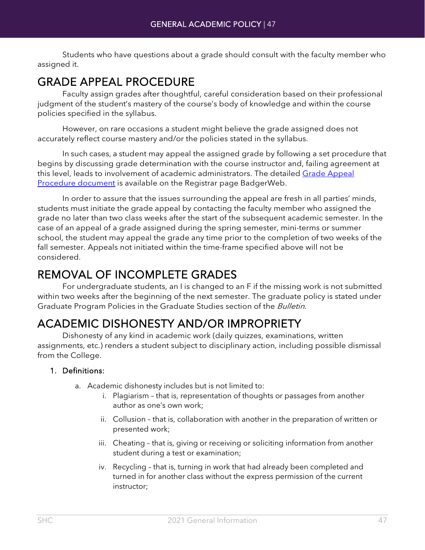Students who have questions about a grade should consult with the faculty member who assigned it.

GRADE APPEAL PROCEDURE<br>Faculty assign grades after thoughtful, careful consideration based on their professional judgment of the student's mastery of the course's body of knowledge and within the course policies specified in the syllabus.

However, on rare occasions a student might believe the grade assigned does not accurately reflect course mastery and/or the policies stated in the syllabus.

In such cases, a student may appeal the assigned grade by following a set procedure that begins by discussing grade determination with the course instructor and, failing agreement at this level, leads to involvement of academic administrators. The detailed [Grade Appeal](https://badgerweb.shc.edu/ICS/icsfs/Grade_Appeal_Procedure_(5-97).pdf?target=365ed06d-927e-4994-b9c3-d492151d72ab)  [Procedure document](https://badgerweb.shc.edu/ICS/icsfs/Grade_Appeal_Procedure_(5-97).pdf?target=365ed06d-927e-4994-b9c3-d492151d72ab) is available on the Registrar page BadgerWeb.

In order to assure that the issues surrounding the appeal are fresh in all parties' minds, students must initiate the grade appeal by contacting the faculty member who assigned the grade no later than two class weeks after the start of the subsequent academic semester. In the case of an appeal of a grade assigned during the spring semester, mini-terms or summer school, the student may appeal the grade any time prior to the completion of two weeks of the fall semester. Appeals not initiated within the time-frame specified above will not be considered.

REMOVAL OF INCOMPLETE GRADES<br>For undergraduate students, an I is changed to an F if the missing work is not submitted within two weeks after the beginning of the next semester. The graduate policy is stated under Graduate Program Policies in the Graduate Studies section of the Bulletin.

# ACADEMIC DISHONESTY AND/OR IMPROPRIETY Dishonesty of any kind in academic work (daily quizzes, examinations, written

assignments, etc.) renders a student subject to disciplinary action, including possible dismissal from the College.

### 1. Definitions:

- a. Academic dishonesty includes but is not limited to:
	- i. Plagiarism that is, representation of thoughts or passages from another author as one's own work;
	- ii. Collusion that is, collaboration with another in the preparation of written or presented work;
	- iii. Cheating that is, giving or receiving or soliciting information from another student during a test or examination;
	- iv. Recycling that is, turning in work that had already been completed and turned in for another class without the express permission of the current instructor;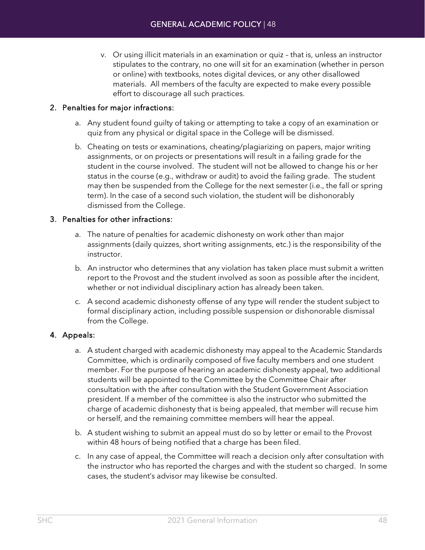v. Or using illicit materials in an examination or quiz – that is, unless an instructor stipulates to the contrary, no one will sit for an examination (whether in person or online) with textbooks, notes digital devices, or any other disallowed materials. All members of the faculty are expected to make every possible effort to discourage all such practices.

### 2. Penalties for major infractions:

- a. Any student found guilty of taking or attempting to take a copy of an examination or quiz from any physical or digital space in the College will be dismissed.
- b. Cheating on tests or examinations, cheating/plagiarizing on papers, major writing assignments, or on projects or presentations will result in a failing grade for the student in the course involved. The student will not be allowed to change his or her status in the course (e.g., withdraw or audit) to avoid the failing grade. The student may then be suspended from the College for the next semester (i.e., the fall or spring term). In the case of a second such violation, the student will be dishonorably dismissed from the College.

### 3. Penalties for other infractions:

- a. The nature of penalties for academic dishonesty on work other than major assignments (daily quizzes, short writing assignments, etc.) is the responsibility of the instructor.
- b. An instructor who determines that any violation has taken place must submit a written report to the Provost and the student involved as soon as possible after the incident, whether or not individual disciplinary action has already been taken.
- c. A second academic dishonesty offense of any type will render the student subject to formal disciplinary action, including possible suspension or dishonorable dismissal from the College.

### 4. Appeals:

- a. A student charged with academic dishonesty may appeal to the Academic Standards Committee, which is ordinarily composed of five faculty members and one student member. For the purpose of hearing an academic dishonesty appeal, two additional students will be appointed to the Committee by the Committee Chair after consultation with the after consultation with the Student Government Association president. If a member of the committee is also the instructor who submitted the charge of academic dishonesty that is being appealed, that member will recuse him or herself, and the remaining committee members will hear the appeal.
- b. A student wishing to submit an appeal must do so by letter or email to the Provost within 48 hours of being notified that a charge has been filed.
- c. In any case of appeal, the Committee will reach a decision only after consultation with the instructor who has reported the charges and with the student so charged. In some cases, the student's advisor may likewise be consulted.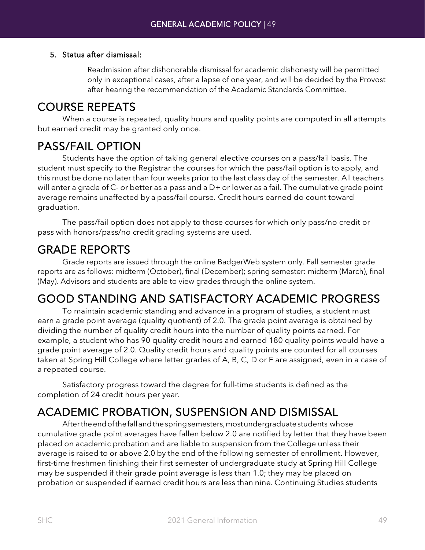### 5. Status after dismissal:

Readmission after dishonorable dismissal for academic dishonesty will be permitted only in exceptional cases, after a lapse of one year, and will be decided by the Provost after hearing the recommendation of the Academic Standards Committee.

COURSE REPEATS When a course is repeated, quality hours and quality points are computed in all attempts but earned credit may be granted only once.

PASS/FAIL OPTION<br>Students have the option of taking general elective courses on a pass/fail basis. The student must specify to the Registrar the courses for which the pass/fail option is to apply, and this must be done no later than four weeks prior to the last class day of the semester. All teachers will enter a grade of C- or better as a pass and a D+ or lower as a fail. The cumulative grade point average remains unaffected by a pass/fail course. Credit hours earned do count toward graduation.

The pass/fail option does not apply to those courses for which only pass/no credit or pass with honors/pass/no credit grading systems are used.

GRADE REPORTS<br>Grade reports are issued through the online BadgerWeb system only. Fall semester grade reports are as follows: midterm (October), final (December); spring semester: midterm (March), final (May). Advisors and students are able to view grades through the online system.

## GOOD STANDING AND SATISFACTORY ACADEMIC PROGRESS To maintain academic standing and advance in a program of studies, a student must

earn a grade point average (quality quotient) of 2.0. The grade point average is obtained by dividing the number of quality credit hours into the number of quality points earned. For example, a student who has 90 quality credit hours and earned 180 quality points would have a grade point average of 2.0. Quality credit hours and quality points are counted for all courses taken at Spring Hill College where letter grades of A, B, C, D or F are assigned, even in a case of a repeated course.

Satisfactory progress toward the degree for full-time students is defined as the completion of 24 credit hours per year.

# ACADEMIC PROBATION, SUSPENSION AND DISMISSAL Aftertheendofthefallandthespringsemesters,mostundergraduatestudents whose

cumulative grade point averages have fallen below 2.0 are notified by letter that they have been placed on academic probation and are liable to suspension from the College unless their average is raised to or above 2.0 by the end of the following semester of enrollment. However, first-time freshmen finishing their first semester of undergraduate study at Spring Hill College may be suspended if their grade point average is less than 1.0; they may be placed on probation or suspended if earned credit hours are less than nine. Continuing Studies students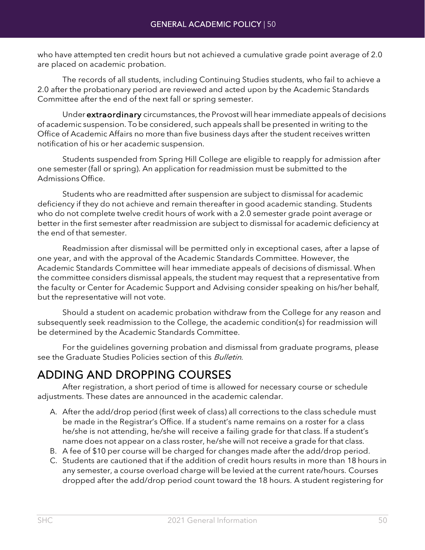who have attempted ten credit hours but not achieved a cumulative grade point average of 2.0 are placed on academic probation.

The records of all students, including Continuing Studies students, who fail to achieve a 2.0 after the probationary period are reviewed and acted upon by the Academic Standards Committee after the end of the next fall or spring semester.

Under extraordinary circumstances, the Provost will hear immediate appeals of decisions of academic suspension. To be considered, such appeals shall be presented in writing to the Office of Academic Affairs no more than five business days after the student receives written notification of his or her academic suspension.

Students suspended from Spring Hill College are eligible to reapply for admission after one semester (fall or spring). An application for readmission must be submitted to the Admissions Office.

Students who are readmitted after suspension are subject to dismissal for academic deficiency if they do not achieve and remain thereafter in good academic standing. Students who do not complete twelve credit hours of work with a 2.0 semester grade point average or better in the first semester after readmission are subject to dismissal for academic deficiency at the end of that semester.

Readmission after dismissal will be permitted only in exceptional cases, after a lapse of one year, and with the approval of the Academic Standards Committee. However, the Academic Standards Committee will hear immediate appeals of decisions of dismissal. When the committee considers dismissal appeals, the student may request that a representative from the faculty or Center for Academic Support and Advising consider speaking on his/her behalf, but the representative will not vote.

Should a student on academic probation withdraw from the College for any reason and subsequently seek readmission to the College, the academic condition(s) for readmission will be determined by the Academic Standards Committee.

For the guidelines governing probation and dismissal from graduate programs, please see the Graduate Studies Policies section of this Bulletin.

ADDING AND DROPPING COURSES<br>After registration, a short period of time is allowed for necessary course or schedule adjustments. These dates are announced in the academic calendar.

- A. After the add/drop period (first week of class) all corrections to the class schedule must be made in the Registrar's Office. If a student's name remains on a roster for a class he/she is not attending, he/she will receive a failing grade for that class. If a student's name does not appear on a class roster, he/she will not receive a grade for that class.
- B. A fee of \$10 per course will be charged for changes made after the add/drop period.
- C. Students are cautioned that if the addition of credit hours results in more than 18 hours in any semester, a course overload charge will be levied at the current rate/hours. Courses dropped after the add/drop period count toward the 18 hours. A student registering for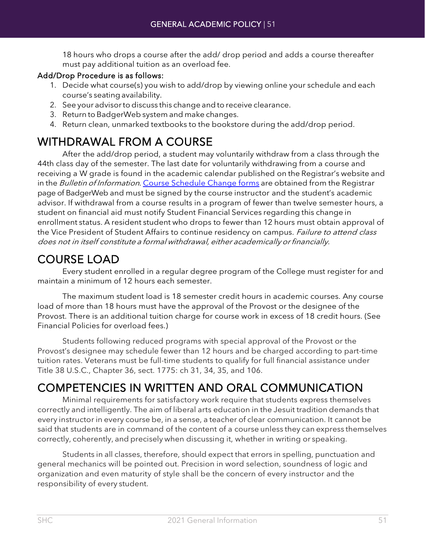18 hours who drops a course after the add/ drop period and adds a course thereafter must pay additional tuition as an overload fee.

### Add/Drop Procedure is as follows:

- 1. Decide what course(s) you wish to add/drop by viewing online your schedule and each course's seatingavailability.
- 2. See your advisor to discuss this change and to receive clearance.
- 3. Return to BadgerWeb system and make changes.
- 4. Return clean, unmarked textbooks to the bookstore during the add/drop period.

WITHDRAWAL FROM A COURSE<br>After the add/drop period, a student may voluntarily withdraw from a class through the 44th class day of the semester. The last date for voluntarily withdrawing from a course and receiving a W grade is found in the academic calendar published on the Registrar's website and in the Bulletin of Information. [Course Schedule Change forms](https://badgerweb.shc.edu/ICS/Portlets/ICS/Handoutportlet/viewhandler.ashx?handout_id=b0b846b4-7f86-4bf3-9ccb-ad6bfc0a9494) are obtained from the Registrar page of BadgerWeb and must be signed by the course instructor and the student's academic advisor. If withdrawal from a course results in a program of fewer than twelve semester hours, a student on financial aid must notify Student Financial Services regarding this change in enrollment status. A resident student who drops to fewer than 12 hours must obtain approval of the Vice President of Student Affairs to continue residency on campus. *Failure to attend class* does not in itself constitute <sup>a</sup> formal withdrawal, either academically orfinancially.

COURSE LOAD Every student enrolled in a regular degree program of the College must register for and maintain a minimum of 12 hours each semester.

The maximum student load is 18 semester credit hours in academic courses. Any course load of more than 18 hours must have the approval of the Provost or the designee of the Provost. There is an additional tuition charge for course work in excess of 18 credit hours. (See Financial Policies for overload fees.)

Students following reduced programs with special approval of the Provost or the Provost's designee may schedule fewer than 12 hours and be charged according to part-time tuition rates. Veterans must be full-time students to qualify for full financial assistance under Title 38 U.S.C., Chapter 36, sect. 1775: ch 31, 34, 35, and 106.

# COMPETENCIES IN WRITTEN AND ORAL COMMUNICATION Minimal requirements for satisfactory work require that students express themselves

correctly and intelligently. The aim of liberal arts education in the Jesuit tradition demands that every instructor in every course be, in a sense, a teacher of clear communication. It cannot be said that students are in command of the content of a course unless they can express themselves correctly, coherently, and precisely when discussing it, whether in writing or speaking.

Students in all classes, therefore, should expect that errors in spelling, punctuation and general mechanics will be pointed out. Precision in word selection, soundness of logic and organization and even maturity of style shall be the concern of every instructor and the responsibility of every student.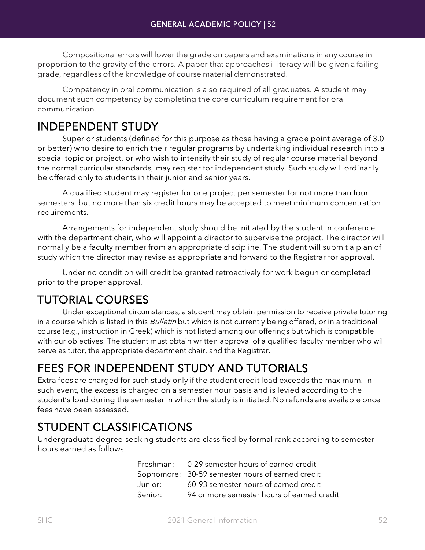Compositional errors will lower the grade on papers and examinations in any course in proportion to the gravity of the errors. A paper that approaches illiteracy will be given a failing grade, regardless of the knowledge of course material demonstrated.

Competency in oral communication is also required of all graduates. A student may document such competency by completing the core curriculum requirement for oral communication.

**INDEPENDENT STUDY**<br>Superior students (defined for this purpose as those having a grade point average of 3.0 or better) who desire to enrich their regular programs by undertaking individual research into a special topic or project, or who wish to intensify their study of regular course material beyond the normal curricular standards, may register for independent study. Such study will ordinarily be offered only to students in their junior and senior years.

A qualified student may register for one project per semester for not more than four semesters, but no more than six credit hours may be accepted to meet minimum concentration requirements.

Arrangements for independent study should be initiated by the student in conference with the department chair, who will appoint a director to supervise the project. The director will normally be a faculty member from an appropriate discipline. The student will submit a plan of study which the director may revise as appropriate and forward to the Registrar for approval.

Under no condition will credit be granted retroactively for work begun or completed prior to the proper approval.

TUTORIAL COURSES<br>Under exceptional circumstances, a student may obtain permission to receive private tutoring in a course which is listed in this Bulletin but which is not currently being offered, or in a traditional course (e.g., instruction in Greek) which is not listed among our offerings but which is compatible with our objectives. The student must obtain written approval of a qualified faculty member who will serve as tutor, the appropriate department chair, and the Registrar.

# FEES FOR INDEPENDENT STUDY AND TUTORIALS<br>Extra fees are charged for such study only if the student credit load exceeds the maximum. In

such event, the excess is charged on a semester hour basis and is levied according to the student's load during the semester in which the study is initiated. No refunds are available once fees have been assessed.

**STUDENT CLASSIFICATIONS**<br>Undergraduate degree-seeking students are classified by formal rank according to semester hours earned as follows:

|         | Freshman: 0-29 semester hours of earned credit   |
|---------|--------------------------------------------------|
|         | Sophomore: 30-59 semester hours of earned credit |
| Junior: | 60-93 semester hours of earned credit            |
| Senior: | 94 or more semester hours of earned credit       |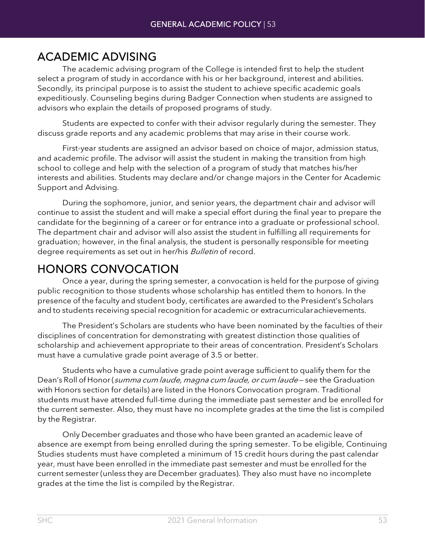ACADEMIC ADVISING The academic advising program of the College is intended first to help the student select a program of study in accordance with his or her background, interest and abilities. Secondly, its principal purpose is to assist the student to achieve specific academic goals expeditiously. Counseling begins during Badger Connection when students are assigned to advisors who explain the details of proposed programs of study.

Students are expected to confer with their advisor regularly during the semester. They discuss grade reports and any academic problems that may arise in their course work.

First-year students are assigned an advisor based on choice of major, admission status, and academic profile. The advisor will assist the student in making the transition from high school to college and help with the selection of a program of study that matches his/her interests and abilities. Students may declare and/or change majors in the Center for Academic Support and Advising.

During the sophomore, junior, and senior years, the department chair and advisor will continue to assist the student and will make a special effort during the final year to prepare the candidate for the beginning of a career or for entrance into a graduate or professional school. The department chair and advisor will also assist the student in fulfilling all requirements for graduation; however, in the final analysis, the student is personally responsible for meeting degree requirements as set out in her/his Bulletin of record.

HONORS CONVOCATION<br>Once a year, during the spring semester, a convocation is held for the purpose of giving public recognition to those students whose scholarship has entitled them to honors. In the presence of the faculty and student body, certificates are awarded to the President's Scholars and to students receiving special recognition for academic or extracurricularachievements.

The President's Scholars are students who have been nominated by the faculties of their disciplines of concentration for demonstrating with greatest distinction those qualities of scholarship and achievement appropriate to their areas of concentration. President's Scholars must have a cumulative grade point average of 3.5 or better.

Students who have a cumulative grade point average sufficient to qualify them for the Dean's Roll of Honor (summa cum laude, magna cum laude, or cum laude-see the Graduation with Honors section for details) are listed in the Honors Convocation program. Traditional students must have attended full-time during the immediate past semester and be enrolled for the current semester. Also, they must have no incomplete grades at the time the list is compiled by the Registrar.

Only December graduates and those who have been granted an academic leave of absence are exempt from being enrolled during the spring semester. To be eligible, Continuing Studies students must have completed a minimum of 15 credit hours during the past calendar year, must have been enrolled in the immediate past semester and must be enrolled for the current semester (unless they are December graduates). They also must have no incomplete grades at the time the list is compiled by theRegistrar.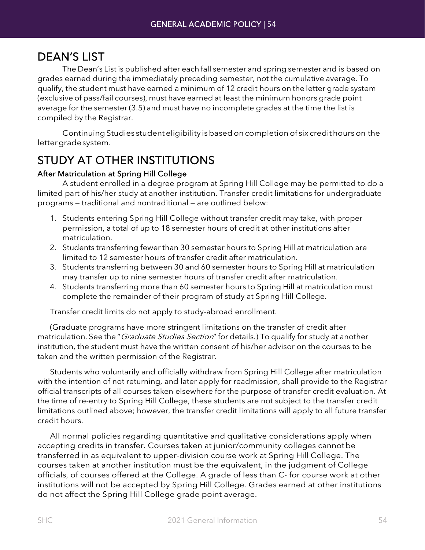DEAN'S LIST<br>The Dean's List is published after each fall semester and spring semester and is based on grades earned during the immediately preceding semester, not the cumulative average. To qualify, the student must have earned a minimum of 12 credit hours on the letter grade system (exclusive of pass/fail courses), must have earned at least the minimum honors grade point average for the semester (3.5) and must have no incomplete grades at the time the list is compiled by the Registrar.

Continuing Studies student eligibility is based on completion of six credit hours on the lettergradesystem.

## STUDY AT OTHER INSTITUTIONS

### After Matriculation at Spring Hill College

A student enrolled in a degree program at Spring Hill College may be permitted to do a limited part of his/her study at another institution. Transfer credit limitations for undergraduate programs — traditional and nontraditional — are outlined below:

- 1. Students entering Spring Hill College without transfer credit may take, with proper permission, a total of up to 18 semester hours of credit at other institutions after matriculation.
- 2. Students transferring fewer than 30 semester hours to Spring Hill at matriculation are limited to 12 semester hours of transfer credit after matriculation.
- 3. Students transferring between 30 and 60 semester hours to Spring Hill at matriculation may transfer up to nine semester hours of transfer credit after matriculation.
- 4. Students transferring more than 60 semester hours to Spring Hill at matriculation must complete the remainder of their program of study at Spring Hill College.

Transfer credit limits do not apply to study-abroad enrollment.

(Graduate programs have more stringent limitations on the transfer of credit after matriculation. See the "*Graduate Studies Section*" for details.) To qualify for study at another institution, the student must have the written consent of his/her advisor on the courses to be taken and the written permission of the Registrar.

Students who voluntarily and officially withdraw from Spring Hill College after matriculation with the intention of not returning, and later apply for readmission, shall provide to the Registrar official transcripts of all courses taken elsewhere for the purpose of transfer credit evaluation. At the time of re-entry to Spring Hill College, these students are not subject to the transfer credit limitations outlined above; however, the transfer credit limitations will apply to all future transfer credit hours.

All normal policies regarding quantitative and qualitative considerations apply when accepting credits in transfer. Courses taken at junior/community colleges cannotbe transferred in as equivalent to upper-division course work at Spring Hill College. The courses taken at another institution must be the equivalent, in the judgment of College officials, of courses offered at the College. A grade of less than C- for course work at other institutions will not be accepted by Spring Hill College. Grades earned at other institutions do not affect the Spring Hill College grade point average.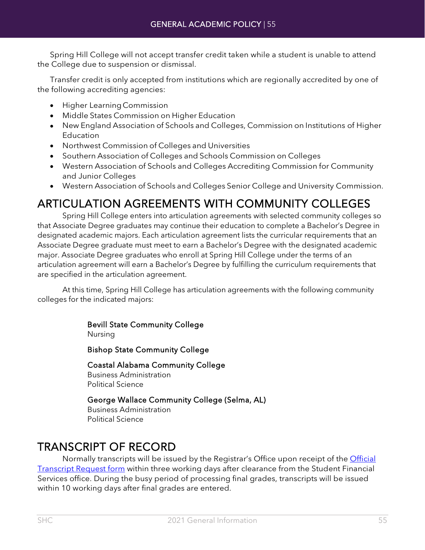Spring Hill College will not accept transfer credit taken while a student is unable to attend the College due to suspension or dismissal.

Transfer credit is only accepted from institutions which are regionally accredited by one of the following accrediting agencies:

- Higher LearningCommission
- Middle States Commission on Higher Education
- New England Association of Schools and Colleges, Commission on Institutions of Higher **Education**
- Northwest Commission of Colleges and Universities
- Southern Association of Colleges and Schools Commission on Colleges
- Western Association of Schools and Colleges Accrediting Commission for Community and Junior Colleges
- Western Association of Schools and Colleges Senior College and University Commission.

# ARTICULATION AGREEMENTS WITH COMMUNITY COLLEGES<br>Spring Hill College enters into articulation agreements with selected community colleges so

that Associate Degree graduates may continue their education to complete a Bachelor's Degree in designated academic majors. Each articulation agreement lists the curricular requirements that an Associate Degree graduate must meet to earn a Bachelor's Degree with the designated academic major. Associate Degree graduates who enroll at Spring Hill College under the terms of an articulation agreement will earn a Bachelor's Degree by fulfilling the curriculum requirements that are specified in the articulation agreement.

At this time, Spring Hill College has articulation agreements with the following community colleges for the indicated majors:

> Bevill State Community College Nursing

Bishop State Community College

Coastal Alabama Community College Business Administration Political Science

George Wallace Community College (Selma, AL) Business Administration Political Science

TRANSCRIPT OF RECORD<br>Normally transcripts will be issued by the Registrar's Office upon receipt of the Official **[Transcript Request form](https://badgerweb.shc.edu/ICS/Portlets/ICS/Handoutportlet/viewhandler.ashx?handout_id=3674a3b6-94ee-460d-a8a6-32f6b6988f0f) within three working days after clearance from the Student Financial** Services office. During the busy period of processing final grades, transcripts will be issued within 10 working days after final grades are entered.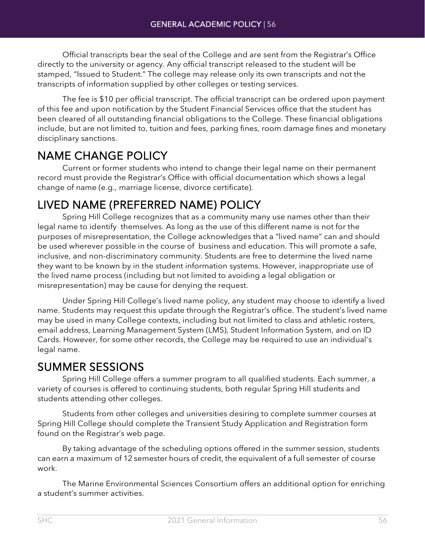Official transcripts bear the seal of the College and are sent from the Registrar's Office directly to the university or agency. Any official transcript released to the student will be stamped, "Issued to Student." The college may release only its own transcripts and not the transcripts of information supplied by other colleges or testing services.

The fee is \$10 per official transcript. The official transcript can be ordered upon payment of this fee and upon notification by the Student Financial Services office that the student has been cleared of all outstanding financial obligations to the College. These financial obligations include, but are not limited to, tuition and fees, parking fines, room damage fines and monetary disciplinary sanctions.

NAME CHANGE POLICY<br>Current or former students who intend to change their legal name on their permanent record must provide the Registrar's Office with official documentation which shows a legal change of name (e.g., marriage license, divorce certificate).

# LIVED NAME (PREFERRED NAME) POLICY Spring Hill College recognizes that as a community many use names other than their

legal name to identify themselves. As long as the use of this different name is not for the purposes of misrepresentation, the College acknowledges that a "lived name" can and should be used wherever possible in the course of business and education. This will promote a safe, inclusive, and non-discriminatory community. Students are free to determine the lived name they want to be known by in the student information systems. However, inappropriate use of the lived name process (including but not limited to avoiding a legal obligation or misrepresentation) may be cause for denying the request.

Under Spring Hill College's lived name policy, any student may choose to identify a lived name. Students may request this update through the Registrar's office. The student's lived name may be used in many College contexts, including but not limited to class and athletic rosters, email address, Learning Management System (LMS), Student Information System, and on ID Cards. However, for some other records, the College may be required to use an individual's legal name.

SUMMER SESSIONS Spring Hill College offers a summer program to all qualified students. Each summer, a variety of courses is offered to continuing students, both regular Spring Hill students and students attending other colleges.

Students from other colleges and universities desiring to complete summer courses at Spring Hill College should complete the Transient Study Application and Registration form found on the Registrar's web page.

By taking advantage of the scheduling options offered in the summer session, students can earn a maximum of 12 semester hours of credit, the equivalent of a full semester of course work.

The Marine Environmental Sciences Consortium offers an additional option for enriching a student's summer activities.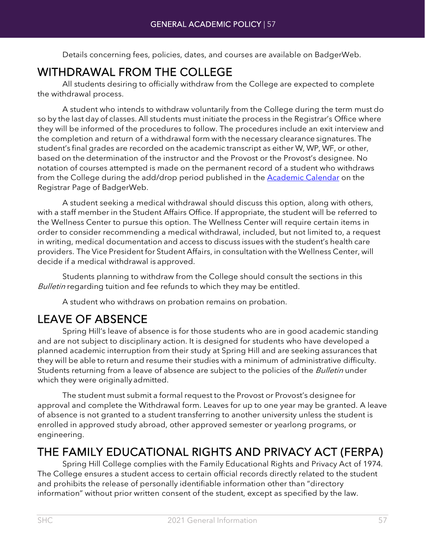Details concerning fees, policies, dates, and courses are available on BadgerWeb.

WITHDRAWAL FROM THE COLLEGE<br>All students desiring to officially withdraw from the College are expected to complete the withdrawal process.

A student who intends to withdraw voluntarily from the College during the term must do so by the last day of classes. All students must initiate the process in the Registrar's Office where they will be informed of the procedures to follow. The procedures include an exit interview and the completion and return of a withdrawal form with the necessary clearance signatures. The student's final grades are recorded on the academic transcript as either W, WP, WF, or other, based on the determination of the instructor and the Provost or the Provost's designee. No notation of courses attempted is made on the permanent record of a student who withdraws from the College during the add/drop period published in the **Academic Calendar** on the Registrar Page of BadgerWeb.

A student seeking a medical withdrawal should discuss this option, along with others, with a staff member in the Student Affairs Office. If appropriate, the student will be referred to the Wellness Center to pursue this option. The Wellness Center will require certain items in order to consider recommending a medical withdrawal, included, but not limited to, a request in writing, medical documentation and access to discuss issues with the student's health care providers. The Vice President for Student Affairs, in consultation with the Wellness Center, will decide if a medical withdrawal is approved.

Students planning to withdraw from the College should consult the sections in this Bulletin regarding tuition and fee refunds to which they may be entitled.

A student who withdraws on probation remains on probation.

LEAVE OF ABSENCE<br>Spring Hill's leave of absence is for those students who are in good academic standing and are not subject to disciplinary action. It is designed for students who have developed a planned academic interruption from their study at Spring Hill and are seeking assurances that they will be able to return and resume their studies with a minimum of administrative difficulty. Students returning from a leave of absence are subject to the policies of the Bulletin under which they were originally admitted.

The student must submit a formal request to the Provost or Provost's designee for approval and complete the Withdrawal form. Leaves for up to one year may be granted. A leave of absence is not granted to a student transferring to another university unless the student is enrolled in approved study abroad, other approved semester or yearlong programs, or engineering.

# THE FAMILY EDUCATIONAL RIGHTS AND PRIVACY ACT (FERPA) Spring Hill College complies with the Family Educational Rights and Privacy Act of 1974.

The College ensures a student access to certain official records directly related to the student and prohibits the release of personally identifiable information other than "directory information" without prior written consent of the student, except as specified by the law.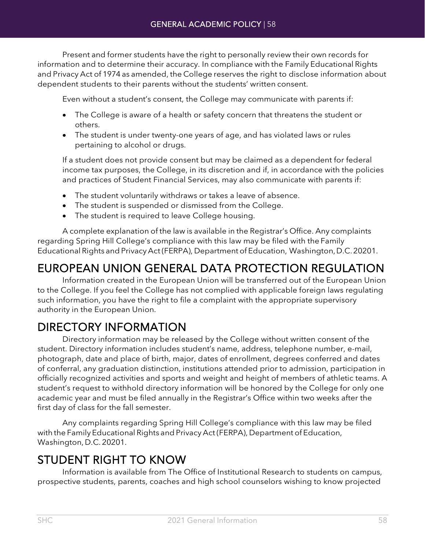Present and former students have the right to personally review their own records for information and to determine their accuracy. In compliance with the Family Educational Rights and Privacy Act of 1974 as amended, the College reserves the right to disclose information about dependent students to their parents without the students' written consent.

Even without a student's consent, the College may communicate with parents if:

- The College is aware of a health or safety concern that threatens the student or others.
- The student is under twenty-one years of age, and has violated laws or rules pertaining to alcohol or drugs.

If a student does not provide consent but may be claimed as a dependent for federal income tax purposes, the College, in its discretion and if, in accordance with the policies and practices of Student Financial Services, may also communicate with parents if:

- The student voluntarily withdraws or takes a leave of absence.
- The student is suspended or dismissed from the College.
- The student is required to leave College housing.

A complete explanation of the law is available in the Registrar's Office. Any complaints regarding Spring Hill College's compliance with this law may be filed with the Family Educational Rights and Privacy Act (FERPA), Department of Education, Washington, D.C. 20201.

## EUROPEAN UNION GENERAL DATA PROTECTION REGULATION Information created in the European Union will be transferred out of the European Union

to the College. If you feel the College has not complied with applicable foreign laws regulating such information, you have the right to file a complaint with the appropriate supervisory authority in the European Union.

DIRECTORY INFORMATION Directory information may be released by the College without written consent of the student. Directory information includes student's name, address, telephone number, e-mail, photograph, date and place of birth, major, dates of enrollment, degrees conferred and dates of conferral, any graduation distinction, institutions attended prior to admission, participation in officially recognized activities and sports and weight and height of members of athletic teams. A student's request to withhold directory information will be honored by the College for only one academic year and must be filed annually in the Registrar's Office within two weeks after the first day of class for the fall semester.

Any complaints regarding Spring Hill College's compliance with this law may be filed with the Family Educational Rights and Privacy Act (FERPA), Department of Education, Washington, D.C. 20201.

STUDENT RIGHT TO KNOW Information is available from The Office of Institutional Research to students on campus, prospective students, parents, coaches and high school counselors wishing to know projected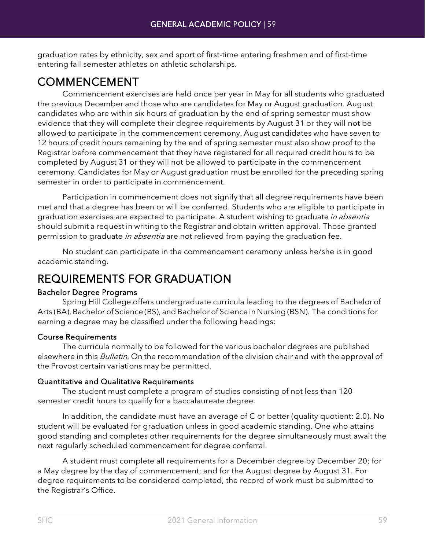graduation rates by ethnicity, sex and sport of first-time entering freshmen and of first-time entering fall semester athletes on athletic scholarships.

COMMENCEMENT Commencement exercises are held once per year in May for all students who graduated the previous December and those who are candidates for May or August graduation. August candidates who are within six hours of graduation by the end of spring semester must show evidence that they will complete their degree requirements by August 31 or they will not be allowed to participate in the commencement ceremony. August candidates who have seven to 12 hours of credit hours remaining by the end of spring semester must also show proof to the Registrar before commencement that they have registered for all required credit hours to be completed by August 31 or they will not be allowed to participate in the commencement ceremony. Candidates for May or August graduation must be enrolled for the preceding spring semester in order to participate in commencement.

Participation in commencement does not signify that all degree requirements have been met and that a degree has been or will be conferred. Students who are eligible to participate in graduation exercises are expected to participate. A student wishing to graduate in absentia should submit a request in writing to the Registrar and obtain written approval. Those granted permission to graduate in absentia are not relieved from paying the graduation fee.

No student can participate in the commencement ceremony unless he/she is in good academic standing.

## REQUIREMENTS FOR GRADUATION

### Bachelor Degree Programs

Spring Hill College offers undergraduate curricula leading to the degrees of Bachelorof Arts (BA), Bachelor of Science (BS), and Bachelor of Science in Nursing (BSN). The conditions for earning a degree may be classified under the following headings:

### Course Requirements

The curricula normally to be followed for the various bachelor degrees are published elsewhere in this *Bulletin*. On the recommendation of the division chair and with the approval of the Provost certain variations may be permitted.

### Quantitative and Qualitative Requirements

The student must complete a program of studies consisting of not less than 120 semester credit hours to qualify for a baccalaureate degree.

In addition, the candidate must have an average of C or better (quality quotient: 2.0). No student will be evaluated for graduation unless in good academic standing. One who attains good standing and completes other requirements for the degree simultaneously must await the next regularly scheduled commencement for degree conferral.

A student must complete all requirements for a December degree by December 20; for a May degree by the day of commencement; and for the August degree by August 31. For degree requirements to be considered completed, the record of work must be submitted to the Registrar's Office.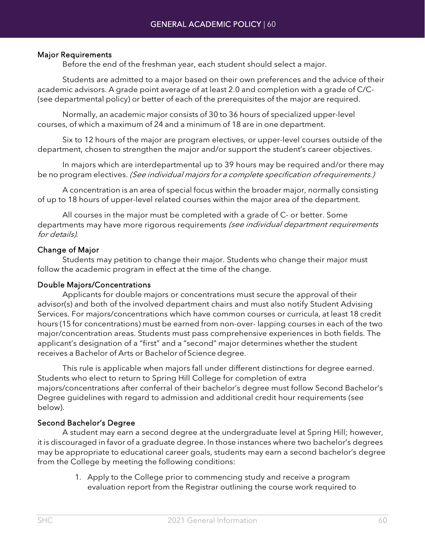### Major Requirements

Before the end of the freshman year, each student should select a major.

Students are admitted to a major based on their own preferences and the advice of their academic advisors. A grade point average of at least 2.0 and completion with a grade of C/C- (see departmental policy) or better of each of the prerequisites of the major are required.

Normally, an academic major consists of 30 to 36 hours of specialized upper-level courses, of which a maximum of 24 and a minimum of 18 are in one department.

Six to 12 hours of the major are program electives, or upper-level courses outside of the department, chosen to strengthen the major and/or support the student's career objectives.

In majors which are interdepartmental up to 39 hours may be required and/or there may be no program electives. (See individual majors for a complete specification of requirements.)

A concentration is an area of special focus within the broader major, normally consisting of up to 18 hours of upper-level related courses within the major area of the department.

All courses in the major must be completed with a grade of C- or better. Some departments may have more rigorous requirements (see individual department requirements for details).

### Change of Major

Students may petition to change their major. Students who change their major must follow the academic program in effect at the time of the change.

### Double Majors/Concentrations

Applicants for double majors or concentrations must secure the approval of their advisor(s) and both of the involved department chairs and must also notify Student Advising Services. For majors/concentrations which have common courses or curricula, at least 18 credit hours (15 for concentrations) must be earned from non-over- lapping courses in each of the two major/concentration areas. Students must pass comprehensive experiences in both fields. The applicant's designation of a "first" and a "second" major determines whether the student receives a Bachelor of Arts or Bachelor of Science degree.

This rule is applicable when majors fall under different distinctions for degree earned. Students who elect to return to Spring Hill College for completion of extra majors/concentrations after conferral of their bachelor's degree must follow Second Bachelor's Degree guidelines with regard to admission and additional credit hour requirements (see below).

### Second Bachelor's Degree

A student may earn a second degree at the undergraduate level at Spring Hill; however, it is discouraged in favor of a graduate degree. In those instances where two bachelor's degrees may be appropriate to educational career goals, students may earn a second bachelor's degree from the College by meeting the following conditions:

> 1. Apply to the College prior to commencing study and receive a program evaluation report from the Registrar outlining the course work required to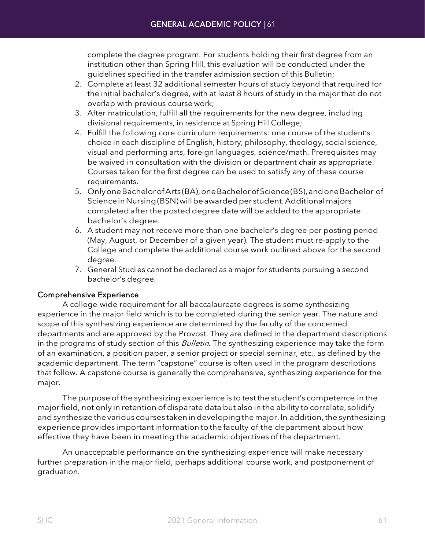complete the degree program. For students holding their first degree from an institution other than Spring Hill, this evaluation will be conducted under the guidelines specified in the transfer admission section of this Bulletin;

- 2. Complete at least 32 additional semester hours of study beyond that required for the initial bachelor's degree, with at least 8 hours of study in the major that do not overlap with previous course work;
- 3. After matriculation, fulfill all the requirements for the new degree, including divisional requirements, in residence at Spring Hill College;
- 4. Fulfill the following core curriculum requirements: one course of the student's choice in each discipline of English, history, philosophy, theology, social science, visual and performing arts, foreign languages, science/math. Prerequisites may be waived in consultation with the division or department chair as appropriate. Courses taken for the first degree can be used to satisfy any of these course requirements.
- 5. Onlyone Bachelor of Arts (BA), one Bachelor of Science (BS), and one Bachelor of Science in Nursing (BSN) will be awarded per student. Additional majors completed after the posted degree date will be added to the appropriate bachelor's degree.
- 6. A student may not receive more than one bachelor's degree per posting period (May, August, or December of a given year). The student must re-apply to the College and complete the additional course work outlined above for the second degree.
- 7. General Studies cannot be declared as a major for students pursuing a second bachelor's degree.

### Comprehensive Experience

A college-wide requirement for all baccalaureate degrees is some synthesizing experience in the major field which is to be completed during the senior year. The nature and scope of this synthesizing experience are determined by the faculty of the concerned departments and are approved by the Provost. They are defined in the department descriptions in the programs of study section of this Bulletin. The synthesizing experience may take the form of an examination, a position paper, a senior project or special seminar, etc., as defined by the academic department. The term "capstone" course is often used in the program descriptions that follow. A capstone course is generally the comprehensive, synthesizing experience for the major.

The purpose ofthe synthesizing experience is to testthe student's competence in the major field, not only in retention of disparate data but also in the ability to correlate, solidify and synthesize the various courses taken in developing the major. In addition, the synthesizing experience provides importantinformation tothe faculty of the department about how effective they have been in meeting the academic objectives of the department.

An unacceptable performance on the synthesizing experience will make necessary further preparation in the major field, perhaps additional course work, and postponement of graduation.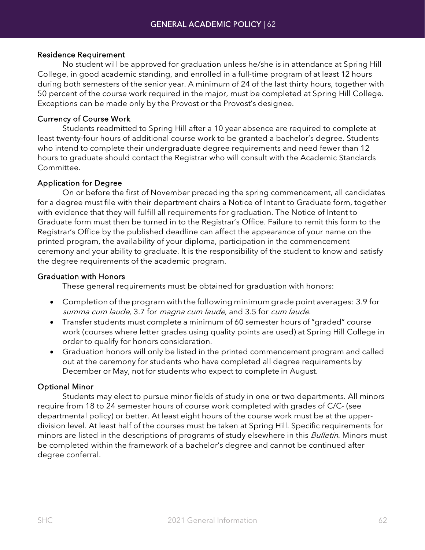### Residence Requirement

No student will be approved for graduation unless he/she is in attendance at Spring Hill College, in good academic standing, and enrolled in a full-time program of at least 12 hours during both semesters of the senior year. A minimum of 24 of the last thirty hours, together with 50 percent of the course work required in the major, must be completed at Spring Hill College. Exceptions can be made only by the Provost or the Provost's designee.

### Currency of Course Work

Students readmitted to Spring Hill after a 10 year absence are required to complete at least twenty-four hours of additional course work to be granted a bachelor's degree. Students who intend to complete their undergraduate degree requirements and need fewer than 12 hours to graduate should contact the Registrar who will consult with the Academic Standards Committee.

### Application for Degree

On or before the first of November preceding the spring commencement, all candidates for a degree must file with their department chairs a Notice of Intent to Graduate form, together with evidence that they will fulfill all requirements for graduation. The Notice of Intent to Graduate form must then be turned in to the Registrar's Office. Failure to remit this form to the Registrar's Office by the published deadline can affect the appearance of your name on the printed program, the availability of your diploma, participation in the commencement ceremony and your ability to graduate. It is the responsibility of the student to know and satisfy the degree requirements of the academic program.

### Graduation with Honors

These general requirements must be obtained for graduation with honors:

- Completion ofthe program with the following minimum grade point averages: 3.9 for summa cum laude, 3.7 for magna cum laude, and 3.5 for cum laude.
- Transfer students must complete a minimum of 60 semester hours of "graded" course work (courses where letter grades using quality points are used) at Spring Hill College in order to qualify for honors consideration.
- Graduation honors will only be listed in the printed commencement program and called out at the ceremony for students who have completed all degree requirements by December or May, not for students who expect to complete in August.

### Optional Minor

Students may elect to pursue minor fields of study in one or two departments. All minors require from 18 to 24 semester hours of course work completed with grades of C/C- (see departmental policy) or better. At least eight hours of the course work must be at the upperdivision level. At least half of the courses must be taken at Spring Hill. Specific requirements for minors are listed in the descriptions of programs of study elsewhere in this *Bulletin*. Minors must be completed within the framework of a bachelor's degree and cannot be continued after degree conferral.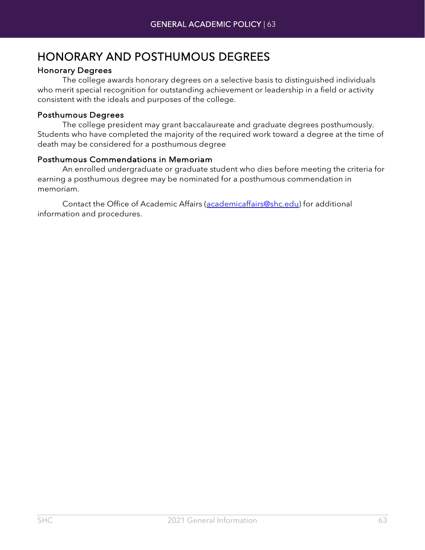## HONORARY AND POSTHUMOUS DEGREES

### Honorary Degrees

The college awards honorary degrees on a selective basis to distinguished individuals who merit special recognition for outstanding achievement or leadership in a field or activity consistent with the ideals and purposes of the college.

### Posthumous Degrees

The college president may grant baccalaureate and graduate degrees posthumously. Students who have completed the majority of the required work toward a degree at the time of death may be considered for a posthumous degree

### Posthumous Commendations in Memoriam

An enrolled undergraduate or graduate student who dies before meeting the criteria for earning a posthumous degree may be nominated for a posthumous commendation in memoriam.

Contact the Office of Academic Affairs [\(academicaffairs@shc.edu\)](mailto:academicaffairs@shc.edu) for additional information and procedures.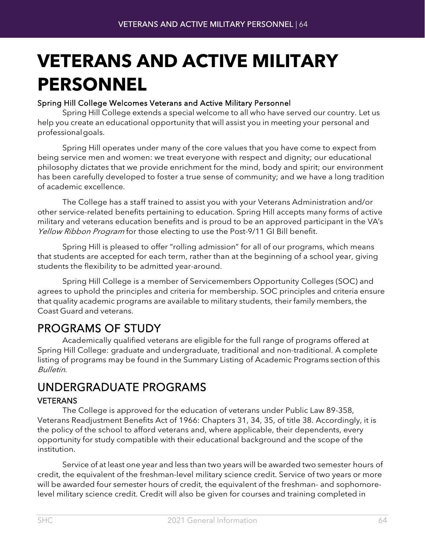# **VETERANS AND ACTIVE MILITARY PERSONNEL**

### Spring Hill College Welcomes Veterans and Active Military Personnel

Spring Hill College extends a special welcome to all who have served our country. Let us help you create an educational opportunity that will assist you in meeting your personal and professionalgoals.

Spring Hill operates under many of the core values that you have come to expect from being service men and women: we treat everyone with respect and dignity; our educational philosophy dictates that we provide enrichment for the mind, body and spirit; our environment has been carefully developed to foster a true sense of community; and we have a long tradition of academic excellence.

The College has a staff trained to assist you with your Veterans Administration and/or other service-related benefits pertaining to education. Spring Hill accepts many forms of active military and veterans education benefits and is proud to be an approved participant in the VA's Yellow Ribbon Program for those electing to use the Post-9/11 GI Bill benefit.

Spring Hill is pleased to offer "rolling admission" for all of our programs, which means that students are accepted for each term, rather than at the beginning of a school year, giving students the flexibility to be admitted year-around.

Spring Hill College is a member of Servicemembers Opportunity Colleges (SOC) and agrees to uphold the principles and criteria for membership. SOC principles and criteria ensure that quality academic programs are available to military students, their family members, the Coast Guard and veterans.

PROGRAMS OF STUDY<br>Academically qualified veterans are eligible for the full range of programs offered at Spring Hill College: graduate and undergraduate, traditional and non-traditional. A complete listing of programs may be found in the Summary Listing of Academic Programs section of this Bulletin.

## UNDERGRADUATE PROGRAMS

### VETERANS

The College is approved for the education of veterans under Public Law 89-358, Veterans Readjustment Benefits Act of 1966: Chapters 31, 34, 35, of title 38. Accordingly, it is the policy of the school to afford veterans and, where applicable, their dependents, every opportunity for study compatible with their educational background and the scope of the institution.

Service of at least one year and less than two years will be awarded two semester hours of credit, the equivalent of the freshman-level military science credit. Service of two years or more will be awarded four semester hours of credit, the equivalent of the freshman- and sophomorelevel military science credit. Credit will also be given for courses and training completed in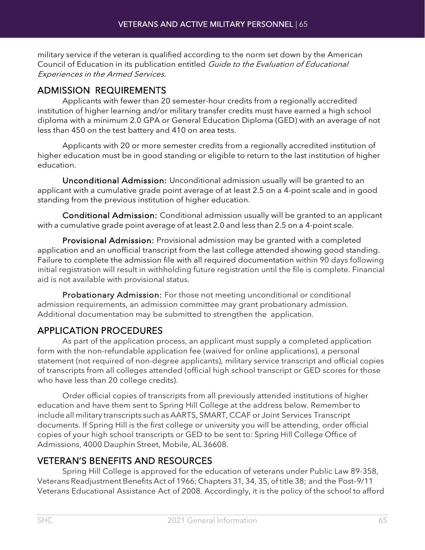military service if the veteran is qualified according to the norm set down by the American Council of Education in its publication entitled Guide to the Evaluation of Educational Experiences in the Armed Services.

### ADMISSION REQUIREMENTS

Applicants with fewer than 20 semester-hour credits from a regionally accredited institution of higher learning and/or military transfer credits must have earned a high school diploma with a minimum 2.0 GPA or General Education Diploma (GED) with an average of not less than 450 on the test battery and 410 on area tests.

Applicants with 20 or more semester credits from a regionally accredited institution of higher education must be in good standing or eligible to return to the last institution of higher education.

Unconditional Admission: Unconditional admission usually will be granted to an applicant with a cumulative grade point average of at least 2.5 on a 4-point scale and in good standing from the previous institution of higher education.

Conditional Admission: Conditional admission usually will be granted to an applicant with a cumulative grade point average of at least 2.0 and less than 2.5 on a 4-point scale.

Provisional Admission: Provisional admission may be granted with a completed application and an unofficial transcript from the last college attended showing good standing. Failure to complete the admission file with all required documentation within 90 days following initial registration will result in withholding future registration until the file is complete. Financial aid is not available with provisional status.

Probationary Admission: For those not meeting unconditional or conditional admission requirements, an admission committee may grant probationary admission. Additional documentation may be submitted to strengthen the application.

### APPLICATION PROCEDURES

As part of the application process, an applicant must supply a completed application form with the non-refundable application fee (waived for online applications), a personal statement (not required of non-degree applicants), military service transcript and official copies of transcripts from all colleges attended (official high school transcript or GED scores for those who have less than 20 college credits).

Order official copies of transcripts from all previously attended institutions of higher education and have them sent to Spring Hill College at the address below. Rememberto include all military transcripts such as AARTS, SMART, CCAF or Joint Services Transcript documents. If Spring Hill is the first college or university you will be attending, order official copies of your high school transcripts or GED to be sent to: Spring Hill College Office of Admissions, 4000 Dauphin Street, Mobile, AL 36608.

### VETERAN'S BENEFITS AND RESOURCES

Spring Hill College is approved for the education of veterans under Public Law 89-358, Veterans Readjustment Benefits Act of 1966; Chapters 31, 34, 35, of title 38; and the Post–9/11 Veterans Educational Assistance Act of 2008. Accordingly, it is the policy of the school to afford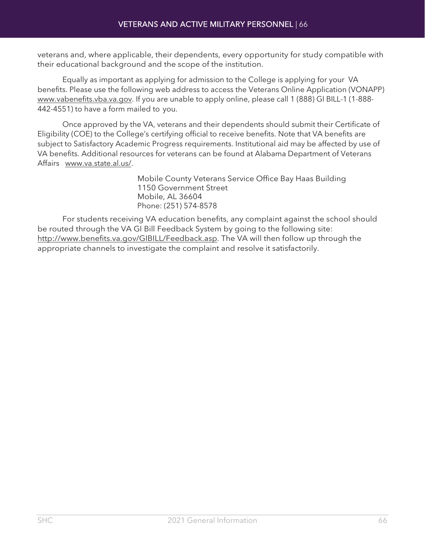veterans and, where applicable, their dependents, every opportunity for study compatible with their educational background and the scope of the institution.

Equally as important as applying for admission to the College is applying for your VA benefits. Please use the following web address to access the Veterans Online Application (VONAPP) [www.vabenefits.vba.va.gov.](http://www.vabenefits.vba.va.gov/) If you are unable to apply online, please call 1 (888) GI BILL-1 (1-888-442-4551) to have a form mailed to you.

Once approved by the VA, veterans and their dependents should submit their Certificate of Eligibility (COE) to the College's certifying official to receive benefits. Note that VA benefits are subject to Satisfactory Academic Progress requirements. Institutional aid may be affected by use of VA benefits. Additional resources for veterans can be found at Alabama Department of Veterans Affairs [www.va.state.al.us/.](http://www.va.state.al.us/)

> Mobile County Veterans Service Office Bay Haas Building 1150 Government Street Mobile, AL 36604 Phone: (251) 574-8578

For students receiving VA education benefits, any complaint against the school should be routed through the VA GI Bill Feedback System by going to the following site: [http://www.benefits.va.gov/GIBILL/Feedback.asp.](http://www.benefits.va.gov/GIBILL/Feedback.asp) The VA will then follow up through the appropriate channels to investigate the complaint and resolve it satisfactorily.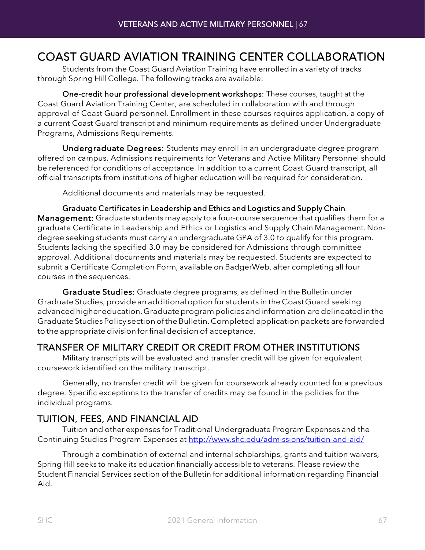## COAST GUARD AVIATION TRAINING CENTER COLLABORATION Students from the Coast Guard Aviation Training have enrolled in <sup>a</sup> variety of tracks

through Spring Hill College. The following tracks are available:

One-credit hour professional development workshops: These courses, taught at the Coast Guard Aviation Training Center, are scheduled in collaboration with and through approval of Coast Guard personnel. Enrollment in these courses requires application, a copy of a current Coast Guard transcript and minimum requirements as defined under Undergraduate Programs, Admissions Requirements.

Undergraduate Degrees: Students may enroll in an undergraduate degree program offered on campus. Admissions requirements for Veterans and Active Military Personnel should be referenced for conditions of acceptance. In addition to a current Coast Guard transcript, all official transcripts from institutions of higher education will be required for consideration.

Additional documents and materials may be requested.

Graduate Certificates in Leadership and Ethics and Logistics and Supply Chain Management: Graduate students may apply to a four-course sequence that qualifies them for a graduate Certificate in Leadership and Ethics or Logistics and Supply Chain Management. Nondegree seeking students must carry an undergraduate GPA of 3.0 to qualify for this program. Students lacking the specified 3.0 may be considered for Admissions through committee approval. Additional documents and materials may be requested. Students are expected to submit a Certificate Completion Form, available on BadgerWeb, after completing all four courses in the sequences.

Graduate Studies: Graduate degree programs, as defined in the Bulletin under Graduate Studies,provide anadditionaloption for students in the CoastGuard seeking advanced higher education. Graduate program policies and information are delineated in the GraduateStudiesPolicy sectionoftheBulletin.Completed applicationpackets are forwarded to the appropriate division for final decision of acceptance.

### TRANSFER OF MILITARY CREDIT OR CREDIT FROM OTHER INSTITUTIONS

Military transcripts will be evaluated and transfer credit will be given for equivalent coursework identified on the military transcript.

Generally, no transfer credit will be given for coursework already counted for a previous degree. Specific exceptions to the transfer of credits may be found in the policies for the individual programs.

### TUITION, FEES, AND FINANCIAL AID

Tuition and other expenses for Traditional Undergraduate Program Expenses and the Continuing Studies Program Expenses at<http://www.shc.edu/admissions/tuition-and-aid/>

Through a combination of external and internal scholarships, grants and tuition waivers, Spring Hill seeks to make its education financially accessible to veterans. Please review the Student Financial Services section of the Bulletin for additional information regarding Financial Aid.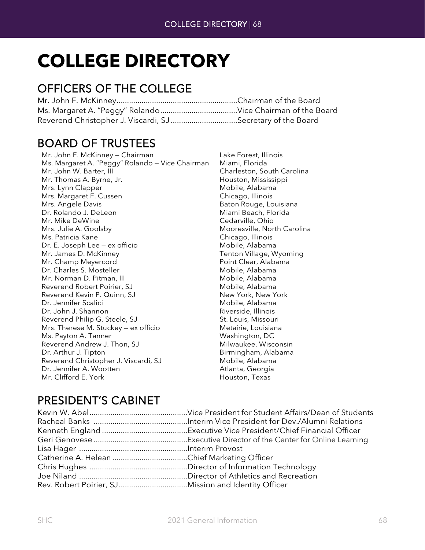# **COLLEGE DIRECTORY**

## OFFICERS OF THE COLLEGE

| Reverend Christopher J. Viscardi, SJSecretary of the Board |  |
|------------------------------------------------------------|--|

## BOARD OF TRUSTEES Mr. John F. McKinney — Chairman Lake Forest, Illinois

| Mr. John F. McKinney – Chairman                 |
|-------------------------------------------------|
| Ms. Margaret A. "Peggy" Rolando – Vice Chairman |
| Mr. John W. Barter, III                         |
| Mr. Thomas A. Byrne, Jr.                        |
| Mrs. Lynn Clapper                               |
| Mrs. Margaret F. Cussen                         |
| Mrs. Angele Davis                               |
| Dr. Rolando J. DeLeon                           |
| Mr. Mike DeWine                                 |
| Mrs. Julie A. Goolsby                           |
| Ms. Patricia Kane                               |
| Dr. E. Joseph Lee – ex officio                  |
| Mr. James D. McKinney                           |
| Mr. Champ Meyercord                             |
| Dr. Charles S. Mosteller                        |
| Mr. Norman D. Pitman, III                       |
| Reverend Robert Poirier, SJ                     |
| Reverend Kevin P. Quinn, SJ                     |
| Dr. Jennifer Scalici                            |
| Dr. John J. Shannon                             |
| Reverend Philip G. Steele, SJ                   |
| Mrs. Therese M. Stuckey – ex officio            |
| Ms. Payton A. Tanner                            |
| Reverend Andrew J. Thon, SJ                     |
| Dr. Arthur J. Tipton                            |
| Reverend Christopher J. Viscardi, SJ            |
| Dr. Jennifer A. Wootten                         |
| Mr. Clifford E. York                            |
|                                                 |

Miami, Florida Charleston, South Carolina Houston, Mississippi Mobile, Alabama Chicago, Illinois Baton Rouge, Louisiana Miami Beach, Florida Cedarville, Ohio Mooresville, North Carolina Chicago, Illinois Mobile, Alabama Tenton Village, Wyoming Point Clear, Alabama Mobile, Alabama Mobile, Alabama Mobile, Alabama New York, New York Mobile, Alabama Riverside, Illinois St. Louis, Missouri Metairie, Louisiana Washington, DC Milwaukee, Wisconsin Birmingham, Alabama Mobile, Alabama Atlanta, Georgia Houston, Texas

## PRESIDENT'S CABINET

| Rev. Robert Poirier, SJMission and Identity Officer |
|-----------------------------------------------------|
|                                                     |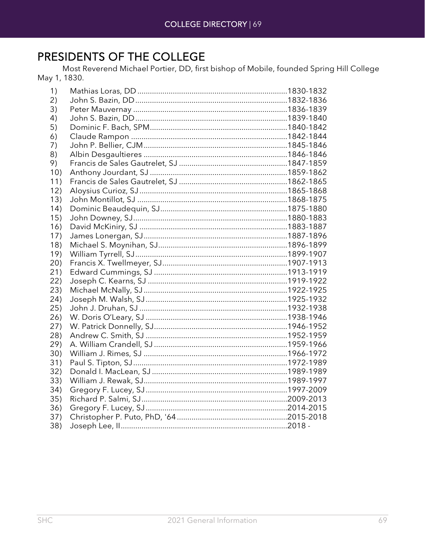## PRESIDENTS OF THE COLLEGE

Most Reverend Michael Portier, DD, first bishop of Mobile, founded Spring Hill College May 1, 1830.

| 1)   |  |
|------|--|
| 2)   |  |
| 3)   |  |
| 4)   |  |
| 5)   |  |
| 6)   |  |
| 7)   |  |
| 8)   |  |
| 9)   |  |
| 10)  |  |
| 11)  |  |
| 12)  |  |
| 13)  |  |
| 14)  |  |
| 15)  |  |
| 16)  |  |
| 17)  |  |
| 18)  |  |
| 19)  |  |
| 20)  |  |
| 21)  |  |
| 22)  |  |
| 23)  |  |
| (24) |  |
| 25)  |  |
| 26)  |  |
| (27) |  |
| 28)  |  |
| 29)  |  |
| 30)  |  |
| 31)  |  |
| 32)  |  |
| 33)  |  |
| 34)  |  |
| 35)  |  |
| 36)  |  |
| 37)  |  |
| 38)  |  |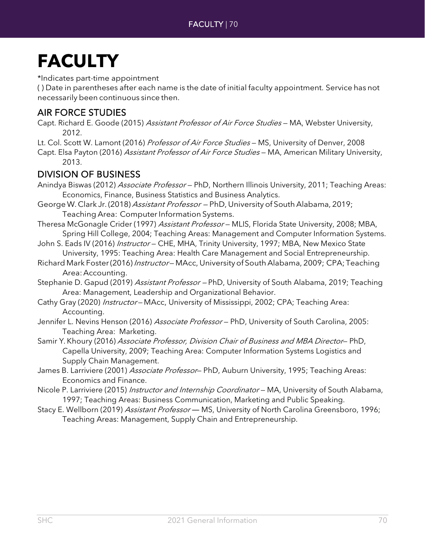## **FACULTY**

\*Indicates part-time appointment

( ) Date in parentheses after each name is the date of initial faculty appointment. Service has not necessarily been continuous since then.

### AIR FORCE STUDIES

Capt. Richard E. Goode (2015) Assistant Professor of Air Force Studies - MA, Webster University, 2012.

Lt. Col. Scott W. Lamont (2016) Professor of Air Force Studies - MS, University of Denver, 2008

Capt. Elsa Payton (2016) Assistant Professor of Air Force Studies - MA, American Military University, 2013.

### DIVISION OF BUSINESS

- Anindya Biswas (2012) Associate Professor PhD, Northern Illinois University, 2011; Teaching Areas: Economics, Finance, Business Statistics and Business Analytics.
- George W. Clark Jr. (2018) Assistant Professor PhD, University of South Alabama, 2019; Teaching Area: Computer Information Systems.
- Theresa McGonagle Crider (1997) Assistant Professor MLIS, Florida State University, 2008; MBA, Spring Hill College, 2004; Teaching Areas: Management and Computer Information Systems.
- John S. Eads IV (2016) Instructor CHE, MHA, Trinity University, 1997; MBA, New Mexico State University, 1995: Teaching Area: Health Care Management and Social Entrepreneurship.
- Richard Mark Foster(2016) Instructor-MAcc, University of South Alabama, 2009; CPA; Teaching Area:Accounting.

Stephanie D. Gapud (2019) Assistant Professor - PhD, University of South Alabama, 2019; Teaching Area: Management, Leadership and Organizational Behavior.

- Cathy Gray (2020) Instructor-MAcc, University of Mississippi, 2002; CPA; Teaching Area: Accounting.
- Jennifer L. Nevins Henson (2016) Associate Professor PhD, University of South Carolina, 2005: Teaching Area: Marketing.
- Samir Y. Khoury (2016) Associate Professor, Division Chair of Business and MBA Director-PhD, Capella University, 2009; Teaching Area: Computer Information Systems Logistics and Supply Chain Management.
- James B. Larriviere (2001) Associate Professor- PhD, Auburn University, 1995; Teaching Areas: Economics and Finance.
- Nicole P. Larriviere (2015) *Instructor and Internship Coordinator* MA, University of South Alabama, 1997; Teaching Areas: Business Communication, Marketing and Public Speaking.
- Stacy E. Wellborn (2019) Assistant Professor MS, University of North Carolina Greensboro, 1996; Teaching Areas: Management, Supply Chain and Entrepreneurship.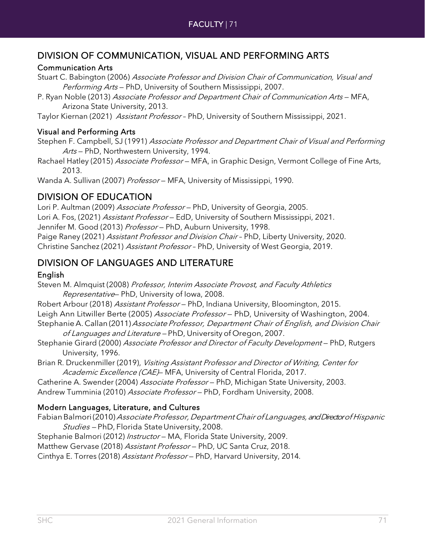### DIVISION OF COMMUNICATION, VISUAL AND PERFORMING ARTS

### Communication Arts

Stuart C. Babington (2006) Associate Professor and Division Chair of Communication, Visual and Performing Arts - PhD, University of Southern Mississippi, 2007.

P. Ryan Noble (2013) Associate Professor and Department Chair of Communication Arts - MFA, Arizona State University, 2013.

Taylor Kiernan (2021) Assistant Professor - PhD, University of Southern Mississippi, 2021.

### Visual and Performing Arts

Stephen F. Campbell, SJ (1991) Associate Professor and Department Chair of Visual and Performing Arts - PhD, Northwestern University, 1994.

Rachael Hatley (2015) Associate Professor - MFA, in Graphic Design, Vermont College of Fine Arts, 2013.

Wanda A. Sullivan (2007) Professor - MFA, University of Mississippi, 1990.

### DIVISION OF EDUCATION

Lori P. Aultman (2009) Associate Professor - PhD, University of Georgia, 2005. Lori A. Fos, (2021) Assistant Professor - EdD, University of Southern Mississippi, 2021. Jennifer M. Good (2013) Professor - PhD, Auburn University, 1998. Paige Raney (2021) Assistant Professor and Division Chair - PhD, Liberty University, 2020. Christine Sanchez (2021) Assistant Professor – PhD, University of West Georgia, 2019.

### DIVISION OF LANGUAGES AND LITERATURE

### English

Steven M. Almquist (2008) Professor, Interim Associate Provost, and Faculty Athletics Representative-PhD, University of Iowa, 2008.

Robert Arbour (2018) Assistant Professor - PhD, Indiana University, Bloomington, 2015. Leigh Ann Litwiller Berte (2005) Associate Professor - PhD, University of Washington, 2004. Stephanie A. Callan (2011) Associate Professor, Department Chair of English, and Division Chair

of Languages and Literature — PhD, University of Oregon, 2007.

Stephanie Girard (2000) Associate Professor and Director of Faculty Development - PhD, Rutgers University, 1996.

Brian R. Druckenmiller (2019), Visiting Assistant Professor and Director of Writing, Center for Academic Excellence (CAE) MFA, University of Central Florida, 2017.

Catherine A. Swender (2004) Associate Professor - PhD, Michigan State University, 2003.

Andrew Tumminia (2010) Associate Professor – PhD, Fordham University, 2008.

### Modern Languages, Literature, and Cultures

Fabian Balmori(2010) Associate Professor, Department Chair of Languages, and Director of Hispanic Studies – PhD, Florida State University, 2008.

Stephanie Balmori (2012) Instructor - MA, Florida State University, 2009.

Matthew Gervase (2018) Assistant Professor - PhD, UC Santa Cruz, 2018.

Cinthya E. Torres (2018) Assistant Professor - PhD, Harvard University, 2014.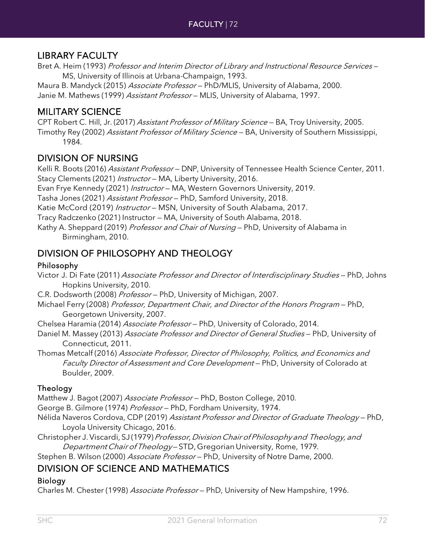### LIBRARY FACULTY

Bret A. Heim (1993) Professor and Interim Director of Library and Instructional Resource Services -MS, University of Illinois at Urbana-Champaign, 1993.

Maura B. Mandyck (2015) Associate Professor - PhD/MLIS, University of Alabama, 2000. Janie M. Mathews (1999) Assistant Professor - MLIS, University of Alabama, 1997.

### MILITARY SCIENCE

CPT Robert C. Hill, Jr. (2017) Assistant Professor of Military Science — BA, Troy University, 2005. Timothy Rey (2002) Assistant Professor of Military Science - BA, University of Southern Mississippi, 1984.

### DIVISION OF NURSING

Kelli R. Boots (2016) Assistant Professor - DNP, University of Tennessee Health Science Center, 2011. Stacy Clements (2021) Instructor - MA, Liberty University, 2016.

Evan Frye Kennedy (2021) Instructor - MA, Western Governors University, 2019.

Tasha Jones (2021) Assistant Professor - PhD, Samford University, 2018.

Katie McCord (2019) Instructor - MSN, University of South Alabama, 2017.

Tracy Radczenko (2021) Instructor — MA, University of South Alabama, 2018.

Kathy A. Sheppard (2019) Professor and Chair of Nursing - PhD, University of Alabama in Birmingham, 2010.

### DIVISION OF PHILOSOPHY AND THEOLOGY

### Philosophy

Victor J. Di Fate (2011) Associate Professor and Director of Interdisciplinary Studies — PhD, Johns Hopkins University, 2010.

C.R. Dodsworth (2008) Professor — PhD, University of Michigan, 2007.

Michael Ferry (2008) Professor, Department Chair, and Director of the Honors Program - PhD, Georgetown University, 2007.

Chelsea Haramia (2014) Associate Professor - PhD, University of Colorado, 2014.

Daniel M. Massey (2013) Associate Professor and Director of General Studies - PhD, University of Connecticut, 2011.

Thomas Metcalf (2016) Associate Professor, Director of Philosophy, Politics, and Economics and Faculty Director of Assessment and Core Development - PhD, University of Colorado at Boulder, 2009.

### **Theology**

Matthew J. Bagot (2007) Associate Professor - PhD, Boston College, 2010.

George B. Gilmore (1974) Professor — PhD, Fordham University, 1974.

Nélida Naveros Cordova, CDP (2019) Assistant Professor and Director of Graduate Theology - PhD, Loyola University Chicago, 2016.

Christopher J. Viscardi, SJ (1979) Professor, Division Chair of Philosophy and Theology, and Department Chairof Theology—STD, Gregorian University, Rome, 1979.

Stephen B. Wilson (2000) Associate Professor - PhD, University of Notre Dame, 2000.

### DIVISION OF SCIENCE AND MATHEMATICS

### Biology

Charles M. Chester (1998) Associate Professor - PhD, University of New Hampshire, 1996.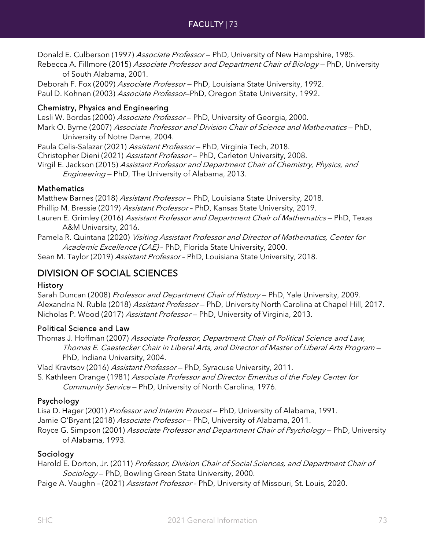# FACULTY | 73

Donald E. Culberson (1997) Associate Professor - PhD, University of New Hampshire, 1985.

Rebecca A. Fillmore (2015) Associate Professor and Department Chair of Biology - PhD, University of South Alabama, 2001.

Deborah F. Fox (2009) Associate Professor - PhD, Louisiana State University, 1992. Paul D. Kohnen (2003) *Associate Professor*–PhD, Oregon State University, 1992.

#### Chemistry, Physics and Engineering

Lesli W. Bordas (2000) Associate Professor - PhD, University of Georgia, 2000. Mark O. Byrne (2007) Associate Professor and Division Chair of Science and Mathematics - PhD, University of Notre Dame, 2004.

Paula Celis-Salazar (2021) Assistant Professor - PhD, Virginia Tech, 2018.

Christopher Dieni (2021) Assistant Professor - PhD, Carleton University, 2008.

Virgil E. Jackson (2015) Assistant Professor and Department Chair of Chemistry, Physics, and Engineering — PhD, The University of Alabama, 2013.

### **Mathematics**

Matthew Barnes (2018) Assistant Professor - PhD, Louisiana State University, 2018. Phillip M. Bressie (2019) Assistant Professor - PhD, Kansas State University, 2019. Lauren E. Grimley (2016) Assistant Professor and Department Chair of Mathematics - PhD, Texas A&M University, 2016.

Pamela R. Quintana (2020) Visiting Assistant Professor and Director of Mathematics, Center for Academic Excellence (CAE) - PhD, Florida State University, 2000.

Sean M. Taylor (2019) Assistant Professor - PhD, Louisiana State University, 2018.

# DIVISION OF SOCIAL SCIENCES

## **History**

Sarah Duncan (2008) Professor and Department Chair of History - PhD, Yale University, 2009. Alexandria N. Ruble (2018) Assistant Professor - PhD, University North Carolina at Chapel Hill, 2017. Nicholas P. Wood (2017) Assistant Professor - PhD, University of Virginia, 2013.

## Political Science and Law

Thomas J. Hoffman (2007) Associate Professor, Department Chair of Political Science and Law, Thomas E. Caestecker Chair in Liberal Arts, and Director of Master of Liberal Arts Program — PhD, Indiana University, 2004.

Vlad Kravtsov (2016) Assistant Professor - PhD, Syracuse University, 2011. S. Kathleen Orange (1981) Associate Professor and Director Emeritus of the Foley Center for Community Service — PhD, University of North Carolina, 1976.

## Psychology

Lisa D. Hager (2001) Professor and Interim Provost – PhD, University of Alabama, 1991. Jamie O'Bryant (2018) Associate Professor - PhD, University of Alabama, 2011. Royce G. Simpson (2001) Associate Professor and Department Chair of Psychology – PhD, University of Alabama, 1993.

## Sociology

Harold E. Dorton, Jr. (2011) Professor, Division Chair of Social Sciences, and Department Chair of Sociology - PhD, Bowling Green State University, 2000.

Paige A. Vaughn - (2021) Assistant Professor - PhD, University of Missouri, St. Louis, 2020.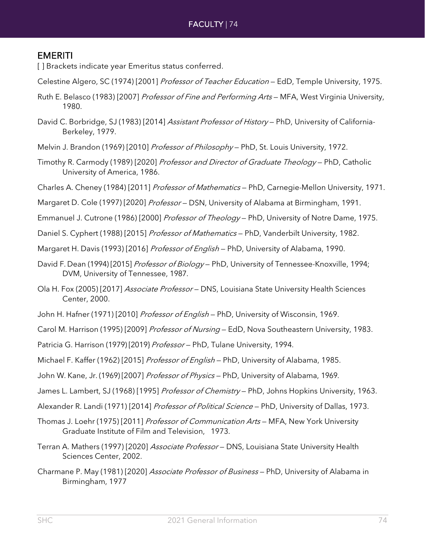# EMERITI

- [] Brackets indicate year Emeritus status conferred.
- Celestine Algero, SC (1974) [2001] Professor of Teacher Education EdD, Temple University, 1975.
- Ruth E. Belasco (1983) [2007] *Professor of Fine and Performing Arts* MFA, West Virginia University, 1980.
- David C. Borbridge, SJ (1983) [2014] Assistant Professor of History PhD, University of California-Berkeley, 1979.
- Melvin J. Brandon (1969) [2010] Professor of Philosophy PhD, St. Louis University, 1972.
- Timothy R. Carmody (1989) [2020] Professor and Director of Graduate Theology PhD, Catholic University of America, 1986.
- Charles A. Cheney (1984) [2011] *Professor of Mathematics* PhD, Carnegie-Mellon University, 1971.
- Margaret D. Cole (1997) [2020] Professor DSN, University of Alabama at Birmingham, 1991.
- Emmanuel J. Cutrone (1986) [2000] Professor of Theology PhD, University of Notre Dame, 1975.
- Daniel S. Cyphert (1988) [2015] *Professor of Mathematics* PhD, Vanderbilt University, 1982.
- Margaret H. Davis (1993) [2016] Professor of English PhD, University of Alabama, 1990.
- David F. Dean (1994) [2015] *Professor of Biology* PhD, University of Tennessee-Knoxville, 1994; DVM, University of Tennessee, 1987.
- Ola H. Fox (2005) [2017] Associate Professor DNS, Louisiana State University Health Sciences Center, 2000.
- John H. Hafner (1971) [2010] Professor of English PhD, University of Wisconsin, 1969.
- Carol M. Harrison (1995) [2009] Professor of Nursing EdD, Nova Southeastern University, 1983.
- Patricia G. Harrison (1979) [2019] Professor PhD, Tulane University, 1994.
- Michael F. Kaffer (1962) [2015] Professor of English PhD, University of Alabama, 1985.
- John W. Kane, Jr. (1969) [2007] Professor of Physics PhD, University of Alabama, 1969.
- James L. Lambert, SJ (1968) [1995] Professor of Chemistry PhD, Johns Hopkins University, 1963.
- Alexander R. Landi (1971) [2014] Professor of Political Science PhD, University of Dallas, 1973.
- Thomas J. Loehr (1975) [2011] *Professor of Communication Arts* MFA, New York University Graduate Institute of Film and Television, 1973.
- Terran A. Mathers (1997) [2020] Associate Professor DNS, Louisiana State University Health Sciences Center, 2002.
- Charmane P. May (1981) [2020] Associate Professor of Business PhD, University of Alabama in Birmingham, 1977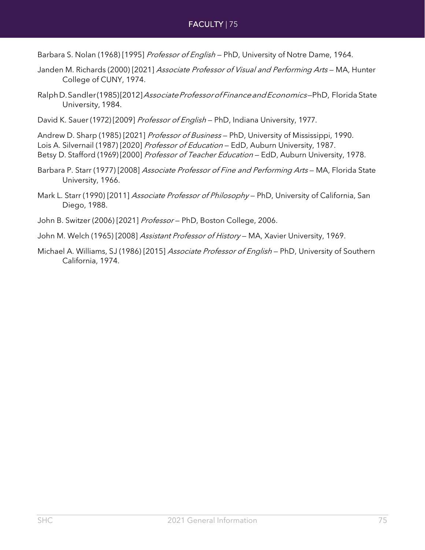Barbara S. Nolan (1968) [1995] Professor of English - PhD, University of Notre Dame, 1964.

- Janden M. Richards (2000) [2021] Associate Professor of Visual and Performing Arts MA, Hunter College of CUNY, 1974.
- RalphD. Sandler(1985)[2012] Associate Professor of Finance and Economics-PhD, Florida State University, 1984.
- David K. Sauer (1972) [2009] Professor of English PhD, Indiana University, 1977.

Andrew D. Sharp (1985) [2021] Professor of Business - PhD, University of Mississippi, 1990. Lois A. Silvernail (1987) [2020] Professor of Education - EdD, Auburn University, 1987. Betsy D. Stafford (1969) [2000] Professor of Teacher Education - EdD, Auburn University, 1978.

Barbara P. Starr (1977) [2008] Associate Professor of Fine and Performing Arts - MA, Florida State University, 1966.

Mark L. Starr (1990) [2011] Associate Professor of Philosophy - PhD, University of California, San Diego, 1988.

- John B. Switzer (2006) [2021] Professor PhD, Boston College, 2006.
- John M. Welch (1965) [2008] Assistant Professor of History MA, Xavier University, 1969.
- Michael A. Williams, SJ (1986) [2015] Associate Professor of English PhD, University of Southern California, 1974.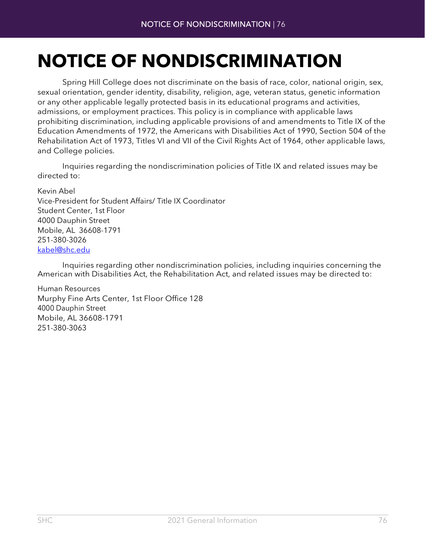# **NOTICE OF NONDISCRIMINATION**

Spring Hill College does not discriminate on the basis of race, color, national origin, sex, sexual orientation, gender identity, disability, religion, age, veteran status, genetic information or any other applicable legally protected basis in its educational programs and activities, admissions, or employment practices. This policy is in compliance with applicable laws prohibiting discrimination, including applicable provisions of and amendments to Title IX of the Education Amendments of 1972, the Americans with Disabilities Act of 1990, Section 504 of the Rehabilitation Act of 1973, Titles VI and VII of the Civil Rights Act of 1964, other applicable laws, and College policies.

Inquiries regarding the nondiscrimination policies of Title IX and related issues may be directed to:

Kevin Abel Vice-President for Student Affairs/ Title IX Coordinator Student Center, 1st Floor 4000 Dauphin Street Mobile, AL 36608-1791 251-380-3026 [kabel@shc.edu](mailto:kabel@shc.edu)

Inquiries regarding other nondiscrimination policies, including inquiries concerning the American with Disabilities Act, the Rehabilitation Act, and related issues may be directed to:

Human Resources Murphy Fine Arts Center, 1st Floor Office 128 4000 Dauphin Street Mobile, AL 36608-1791 251-380-3063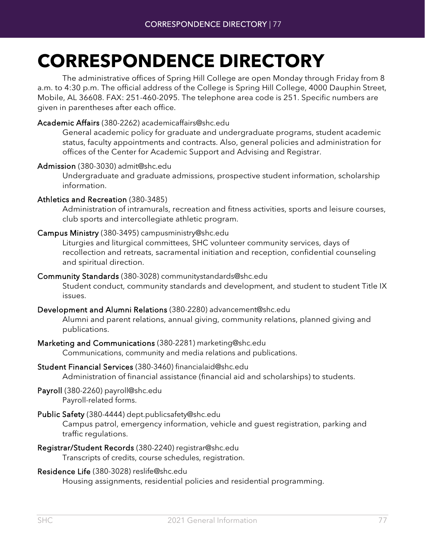# **CORRESPONDENCE DIRECTORY**

The administrative offices of Spring Hill College are open Monday through Friday from 8 a.m. to 4:30 p.m. The official address of the College is Spring Hill College, 4000 Dauphin Street, Mobile, AL 36608. FAX: 251-460-2095. The telephone area code is 251. Specific numbers are given in parentheses after each office.

#### Academic Affairs (380-2262) [academicaf](mailto:academicaffairs@shc.edu)[fairs@shc.edu](mailto:fairs@shc.edu)

General academic policy for graduate and undergraduate programs, student academic status, faculty appointments and contracts. Also, general policies and administration for offices of the Center for Academic Support and Advising and Registrar.

#### Admission (380-3030) [admit@shc.edu](mailto:admit@shc.edu)

Undergraduate and graduate admissions, prospective student information, scholarship information.

#### Athletics and Recreation (380-3485)

Administration of intramurals, recreation and fitness activities, sports and leisure courses, club sports and intercollegiate athletic program.

#### Campus Ministry (380-3495) [campusministry@shc.edu](mailto:campusministry@shc.edu)

Liturgies and liturgical committees, SHC volunteer community services, days of recollection and retreats, sacramental initiation and reception, confidential counseling and spiritual direction.

#### Community Standards (380-3028) [communitystandar](mailto:communitystandards@shc.edu)[ds@shc.edu](mailto:ds@shc.edu)

Student conduct, community standards and development, and student to student Title IX issues.

#### Development and Alumni Relations (380-2280) [advancement@shc.edu](mailto:advancement@shc.edu)

Alumni and parent relations, annual giving, community relations, planned giving and publications.

#### Marketing and Communications (380-2281) [mark](mailto:marketing@shc.edu)[eting@shc.edu](mailto:eting@shc.edu)

Communications, community and media relations and publications.

#### Student Financial Services (380-3460) [financialaid@shc.edu](mailto:financialaid@shc.edu)

Administration of financial assistance (financial aid and scholarships) to students.

# Payroll (380-2260) [payr](mailto:payroll@shc.edu)[oll@shc.edu](mailto:oll@shc.edu)

Payroll-related forms.

Public Safety (380-4444) [dept.publicsafety@shc.edu](mailto:dept.publicsafety@shc.edu)

Campus patrol, emergency information, vehicle and guest registration, parking and traffic regulations.

Registrar/Student Records (380-2240) [registr](mailto:registrar@shc.edu)[ar@shc.edu](mailto:ar@shc.edu)

Transcripts of credits, course schedules, registration.

#### Residence Life (380-3028) [r](mailto:reslife@shc.edu)[eslife@shc.edu](mailto:eslife@shc.edu)

Housing assignments, residential policies and residential programming.